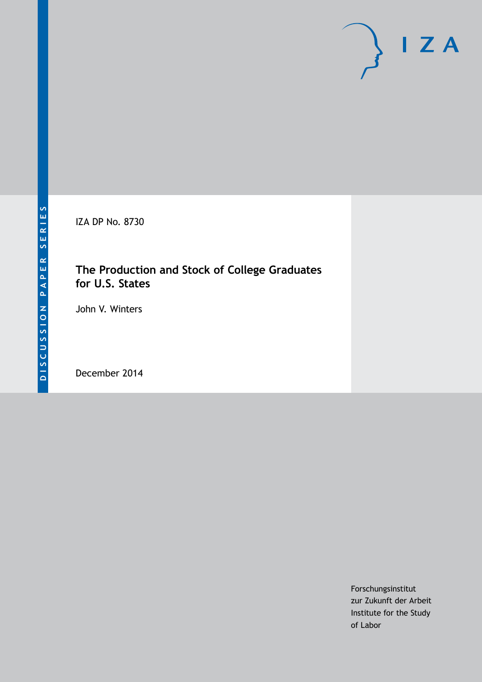IZA DP No. 8730

## **The Production and Stock of College Graduates for U.S. States**

John V. Winters

December 2014

Forschungsinstitut zur Zukunft der Arbeit Institute for the Study of Labor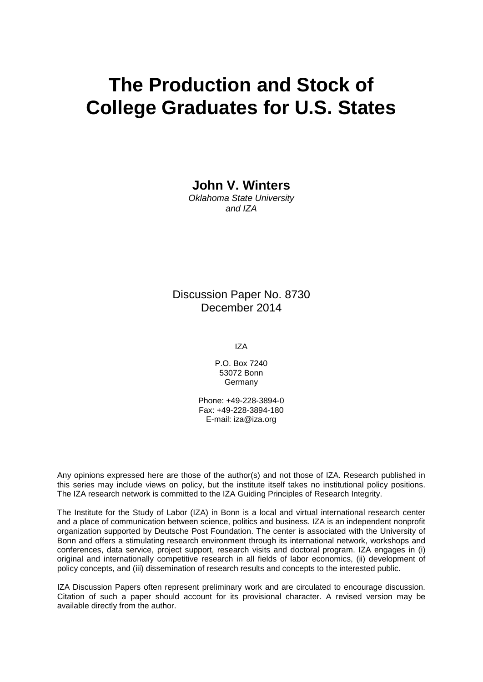# **The Production and Stock of College Graduates for U.S. States**

**John V. Winters**

*Oklahoma State University and IZA*

Discussion Paper No. 8730 December 2014

IZA

P.O. Box 7240 53072 Bonn **Germany** 

Phone: +49-228-3894-0 Fax: +49-228-3894-180 E-mail: [iza@iza.org](mailto:iza@iza.org)

Any opinions expressed here are those of the author(s) and not those of IZA. Research published in this series may include views on policy, but the institute itself takes no institutional policy positions. The IZA research network is committed to the IZA Guiding Principles of Research Integrity.

The Institute for the Study of Labor (IZA) in Bonn is a local and virtual international research center and a place of communication between science, politics and business. IZA is an independent nonprofit organization supported by Deutsche Post Foundation. The center is associated with the University of Bonn and offers a stimulating research environment through its international network, workshops and conferences, data service, project support, research visits and doctoral program. IZA engages in (i) original and internationally competitive research in all fields of labor economics, (ii) development of policy concepts, and (iii) dissemination of research results and concepts to the interested public.

<span id="page-1-0"></span>IZA Discussion Papers often represent preliminary work and are circulated to encourage discussion. Citation of such a paper should account for its provisional character. A revised version may be available directly from the author.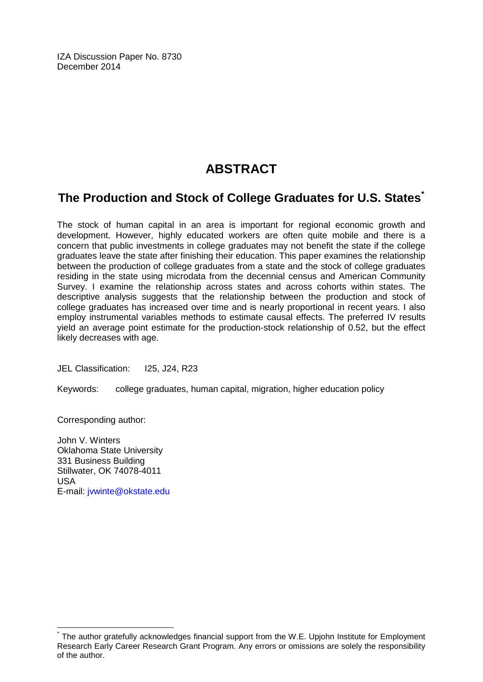IZA Discussion Paper No. 8730 December 2014

## **ABSTRACT**

## **The Production and Stock of College Graduates for U.S. States[\\*](#page-1-0)**

The stock of human capital in an area is important for regional economic growth and development. However, highly educated workers are often quite mobile and there is a concern that public investments in college graduates may not benefit the state if the college graduates leave the state after finishing their education. This paper examines the relationship between the production of college graduates from a state and the stock of college graduates residing in the state using microdata from the decennial census and American Community Survey. I examine the relationship across states and across cohorts within states. The descriptive analysis suggests that the relationship between the production and stock of college graduates has increased over time and is nearly proportional in recent years. I also employ instrumental variables methods to estimate causal effects. The preferred IV results yield an average point estimate for the production-stock relationship of 0.52, but the effect likely decreases with age.

JEL Classification: I25, J24, R23

Keywords: college graduates, human capital, migration, higher education policy

Corresponding author:

John V. Winters Oklahoma State University 331 Business Building Stillwater, OK 74078-4011 USA E-mail: [jvwinte@okstate.edu](mailto:jvwinte@okstate.edu)

The author gratefully acknowledges financial support from the W.E. Upjohn Institute for Employment Research Early Career Research Grant Program. Any errors or omissions are solely the responsibility of the author.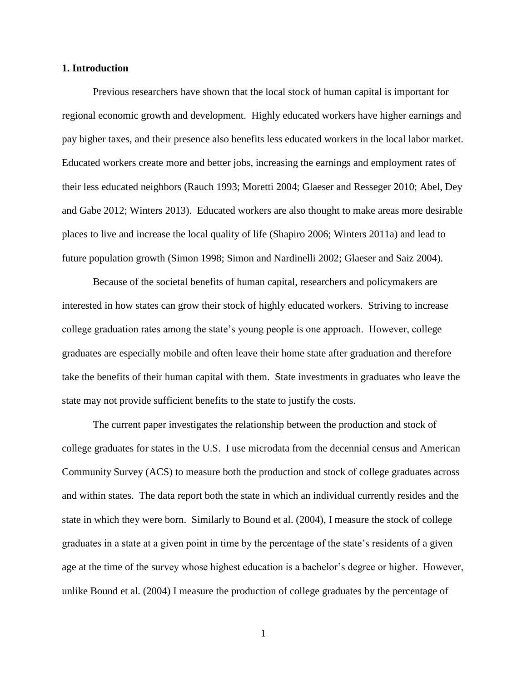#### **1. Introduction**

Previous researchers have shown that the local stock of human capital is important for regional economic growth and development. Highly educated workers have higher earnings and pay higher taxes, and their presence also benefits less educated workers in the local labor market. Educated workers create more and better jobs, increasing the earnings and employment rates of their less educated neighbors (Rauch 1993; Moretti 2004; Glaeser and Resseger 2010; Abel, Dey and Gabe 2012; Winters 2013). Educated workers are also thought to make areas more desirable places to live and increase the local quality of life (Shapiro 2006; Winters 2011a) and lead to future population growth (Simon 1998; Simon and Nardinelli 2002; Glaeser and Saiz 2004).

Because of the societal benefits of human capital, researchers and policymakers are interested in how states can grow their stock of highly educated workers. Striving to increase college graduation rates among the state's young people is one approach. However, college graduates are especially mobile and often leave their home state after graduation and therefore take the benefits of their human capital with them. State investments in graduates who leave the state may not provide sufficient benefits to the state to justify the costs.

The current paper investigates the relationship between the production and stock of college graduates for states in the U.S. I use microdata from the decennial census and American Community Survey (ACS) to measure both the production and stock of college graduates across and within states. The data report both the state in which an individual currently resides and the state in which they were born. Similarly to Bound et al. (2004), I measure the stock of college graduates in a state at a given point in time by the percentage of the state's residents of a given age at the time of the survey whose highest education is a bachelor's degree or higher. However, unlike Bound et al. (2004) I measure the production of college graduates by the percentage of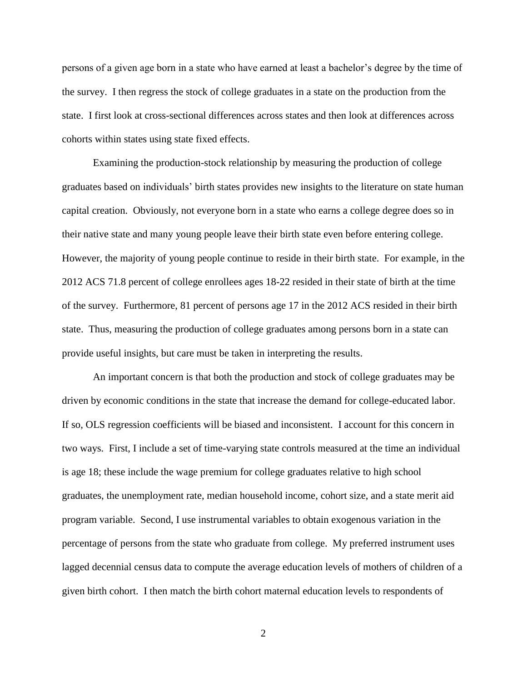persons of a given age born in a state who have earned at least a bachelor's degree by the time of the survey. I then regress the stock of college graduates in a state on the production from the state. I first look at cross-sectional differences across states and then look at differences across cohorts within states using state fixed effects.

Examining the production-stock relationship by measuring the production of college graduates based on individuals' birth states provides new insights to the literature on state human capital creation. Obviously, not everyone born in a state who earns a college degree does so in their native state and many young people leave their birth state even before entering college. However, the majority of young people continue to reside in their birth state. For example, in the 2012 ACS 71.8 percent of college enrollees ages 18-22 resided in their state of birth at the time of the survey. Furthermore, 81 percent of persons age 17 in the 2012 ACS resided in their birth state. Thus, measuring the production of college graduates among persons born in a state can provide useful insights, but care must be taken in interpreting the results.

An important concern is that both the production and stock of college graduates may be driven by economic conditions in the state that increase the demand for college-educated labor. If so, OLS regression coefficients will be biased and inconsistent. I account for this concern in two ways. First, I include a set of time-varying state controls measured at the time an individual is age 18; these include the wage premium for college graduates relative to high school graduates, the unemployment rate, median household income, cohort size, and a state merit aid program variable. Second, I use instrumental variables to obtain exogenous variation in the percentage of persons from the state who graduate from college. My preferred instrument uses lagged decennial census data to compute the average education levels of mothers of children of a given birth cohort. I then match the birth cohort maternal education levels to respondents of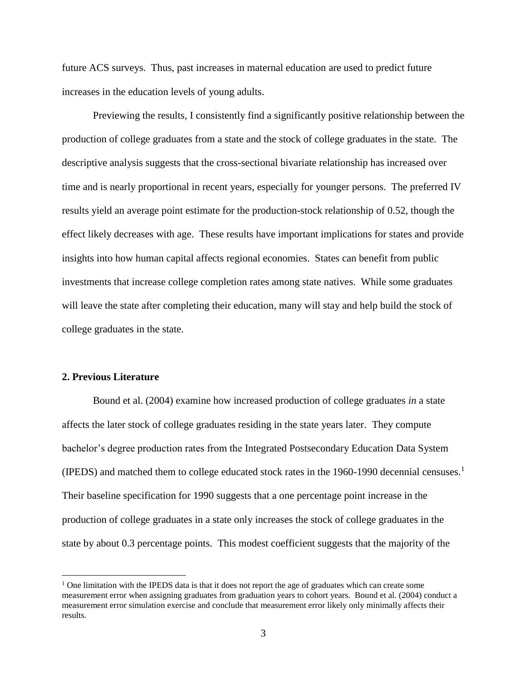future ACS surveys. Thus, past increases in maternal education are used to predict future increases in the education levels of young adults.

Previewing the results, I consistently find a significantly positive relationship between the production of college graduates from a state and the stock of college graduates in the state. The descriptive analysis suggests that the cross-sectional bivariate relationship has increased over time and is nearly proportional in recent years, especially for younger persons. The preferred IV results yield an average point estimate for the production-stock relationship of 0.52, though the effect likely decreases with age. These results have important implications for states and provide insights into how human capital affects regional economies. States can benefit from public investments that increase college completion rates among state natives. While some graduates will leave the state after completing their education, many will stay and help build the stock of college graduates in the state.

#### **2. Previous Literature**

 $\overline{a}$ 

Bound et al. (2004) examine how increased production of college graduates *in* a state affects the later stock of college graduates residing in the state years later. They compute bachelor's degree production rates from the Integrated Postsecondary Education Data System (IPEDS) and matched them to college educated stock rates in the 1960-1990 decennial censuses.<sup>1</sup> Their baseline specification for 1990 suggests that a one percentage point increase in the production of college graduates in a state only increases the stock of college graduates in the state by about 0.3 percentage points. This modest coefficient suggests that the majority of the

 $<sup>1</sup>$  One limitation with the IPEDS data is that it does not report the age of graduates which can create some</sup> measurement error when assigning graduates from graduation years to cohort years. Bound et al. (2004) conduct a measurement error simulation exercise and conclude that measurement error likely only minimally affects their results.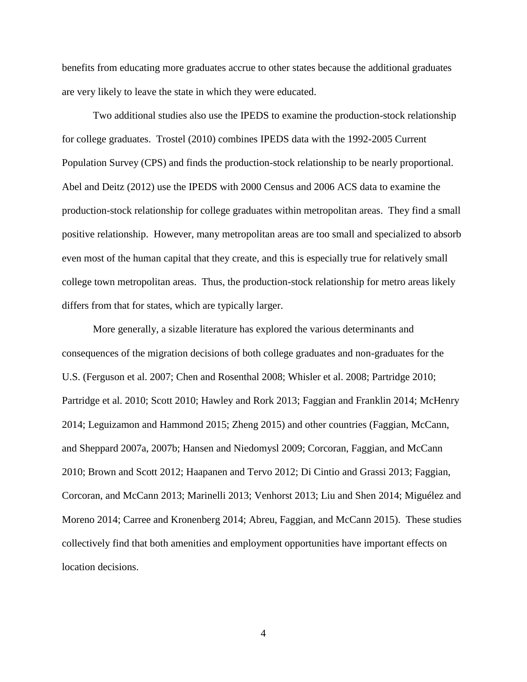benefits from educating more graduates accrue to other states because the additional graduates are very likely to leave the state in which they were educated.

Two additional studies also use the IPEDS to examine the production-stock relationship for college graduates. Trostel (2010) combines IPEDS data with the 1992-2005 Current Population Survey (CPS) and finds the production-stock relationship to be nearly proportional. Abel and Deitz (2012) use the IPEDS with 2000 Census and 2006 ACS data to examine the production-stock relationship for college graduates within metropolitan areas. They find a small positive relationship. However, many metropolitan areas are too small and specialized to absorb even most of the human capital that they create, and this is especially true for relatively small college town metropolitan areas. Thus, the production-stock relationship for metro areas likely differs from that for states, which are typically larger.

More generally, a sizable literature has explored the various determinants and consequences of the migration decisions of both college graduates and non-graduates for the U.S. (Ferguson et al. 2007; Chen and Rosenthal 2008; Whisler et al. 2008; Partridge 2010; Partridge et al. 2010; Scott 2010; Hawley and Rork 2013; Faggian and Franklin 2014; McHenry 2014; Leguizamon and Hammond 2015; Zheng 2015) and other countries (Faggian, McCann, and Sheppard 2007a, 2007b; Hansen and Niedomysl 2009; Corcoran, Faggian, and McCann 2010; Brown and Scott 2012; Haapanen and Tervo 2012; Di Cintio and Grassi 2013; Faggian, Corcoran, and McCann 2013; Marinelli 2013; Venhorst 2013; Liu and Shen 2014; Miguélez and Moreno 2014; Carree and Kronenberg 2014; Abreu, Faggian, and McCann 2015). These studies collectively find that both amenities and employment opportunities have important effects on location decisions.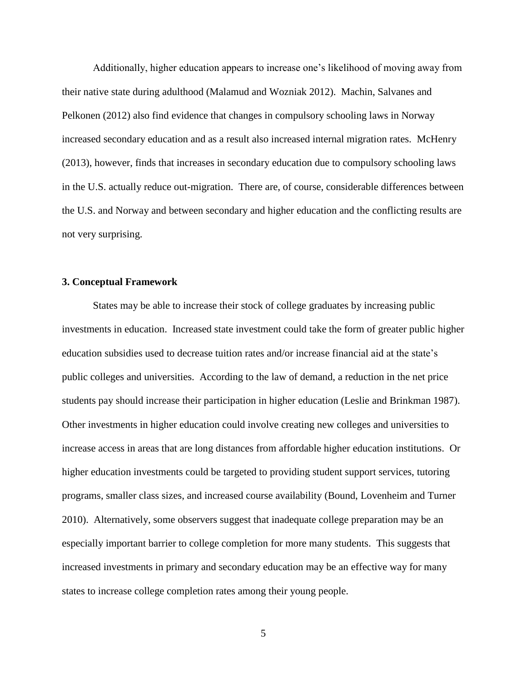Additionally, higher education appears to increase one's likelihood of moving away from their native state during adulthood (Malamud and Wozniak 2012). Machin, Salvanes and Pelkonen (2012) also find evidence that changes in compulsory schooling laws in Norway increased secondary education and as a result also increased internal migration rates. McHenry (2013), however, finds that increases in secondary education due to compulsory schooling laws in the U.S. actually reduce out-migration. There are, of course, considerable differences between the U.S. and Norway and between secondary and higher education and the conflicting results are not very surprising.

#### **3. Conceptual Framework**

States may be able to increase their stock of college graduates by increasing public investments in education. Increased state investment could take the form of greater public higher education subsidies used to decrease tuition rates and/or increase financial aid at the state's public colleges and universities. According to the law of demand, a reduction in the net price students pay should increase their participation in higher education (Leslie and Brinkman 1987). Other investments in higher education could involve creating new colleges and universities to increase access in areas that are long distances from affordable higher education institutions. Or higher education investments could be targeted to providing student support services, tutoring programs, smaller class sizes, and increased course availability (Bound, Lovenheim and Turner 2010). Alternatively, some observers suggest that inadequate college preparation may be an especially important barrier to college completion for more many students. This suggests that increased investments in primary and secondary education may be an effective way for many states to increase college completion rates among their young people.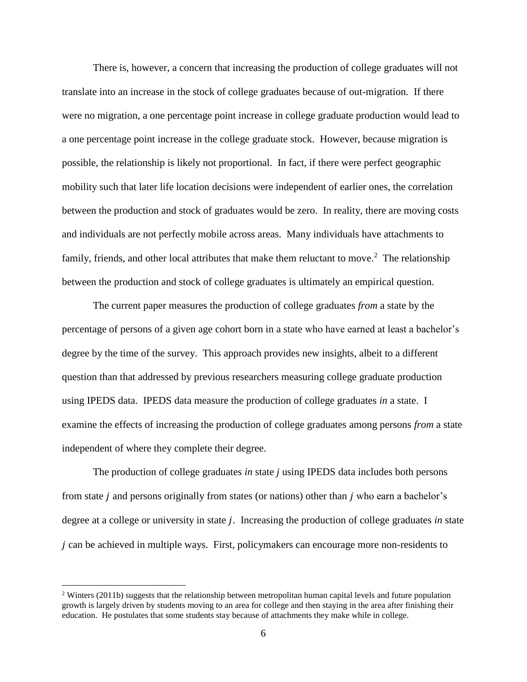There is, however, a concern that increasing the production of college graduates will not translate into an increase in the stock of college graduates because of out-migration. If there were no migration, a one percentage point increase in college graduate production would lead to a one percentage point increase in the college graduate stock. However, because migration is possible, the relationship is likely not proportional. In fact, if there were perfect geographic mobility such that later life location decisions were independent of earlier ones, the correlation between the production and stock of graduates would be zero. In reality, there are moving costs and individuals are not perfectly mobile across areas. Many individuals have attachments to family, friends, and other local attributes that make them reluctant to move.<sup>2</sup> The relationship between the production and stock of college graduates is ultimately an empirical question.

The current paper measures the production of college graduates *from* a state by the percentage of persons of a given age cohort born in a state who have earned at least a bachelor's degree by the time of the survey. This approach provides new insights, albeit to a different question than that addressed by previous researchers measuring college graduate production using IPEDS data. IPEDS data measure the production of college graduates *in* a state. I examine the effects of increasing the production of college graduates among persons *from* a state independent of where they complete their degree.

The production of college graduates *in* state *j* using IPEDS data includes both persons from state *j* and persons originally from states (or nations) other than *j* who earn a bachelor's degree at a college or university in state *j*. Increasing the production of college graduates *in* state  $\dot{\theta}$  can be achieved in multiple ways. First, policymakers can encourage more non-residents to

<sup>&</sup>lt;sup>2</sup> Winters (2011b) suggests that the relationship between metropolitan human capital levels and future population growth is largely driven by students moving to an area for college and then staying in the area after finishing their education. He postulates that some students stay because of attachments they make while in college.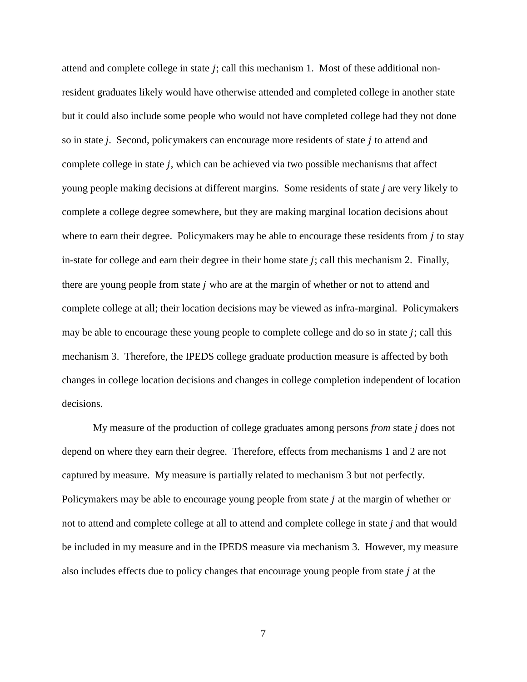attend and complete college in state  $j$ ; call this mechanism 1. Most of these additional nonresident graduates likely would have otherwise attended and completed college in another state but it could also include some people who would not have completed college had they not done so in state *j*. Second, policymakers can encourage more residents of state *j* to attend and complete college in state *j*, which can be achieved via two possible mechanisms that affect young people making decisions at different margins. Some residents of state *j* are very likely to complete a college degree somewhere, but they are making marginal location decisions about where to earn their degree. Policymakers may be able to encourage these residents from  $j$  to stay in-state for college and earn their degree in their home state  $j$ ; call this mechanism 2. Finally, there are young people from state  $j$  who are at the margin of whether or not to attend and complete college at all; their location decisions may be viewed as infra-marginal. Policymakers may be able to encourage these young people to complete college and do so in state  $j$ ; call this mechanism 3. Therefore, the IPEDS college graduate production measure is affected by both changes in college location decisions and changes in college completion independent of location decisions.

My measure of the production of college graduates among persons *from* state *j* does not depend on where they earn their degree. Therefore, effects from mechanisms 1 and 2 are not captured by measure. My measure is partially related to mechanism 3 but not perfectly. Policymakers may be able to encourage young people from state  $j$  at the margin of whether or not to attend and complete college at all to attend and complete college in state *j* and that would be included in my measure and in the IPEDS measure via mechanism 3. However, my measure also includes effects due to policy changes that encourage young people from state  $j$  at the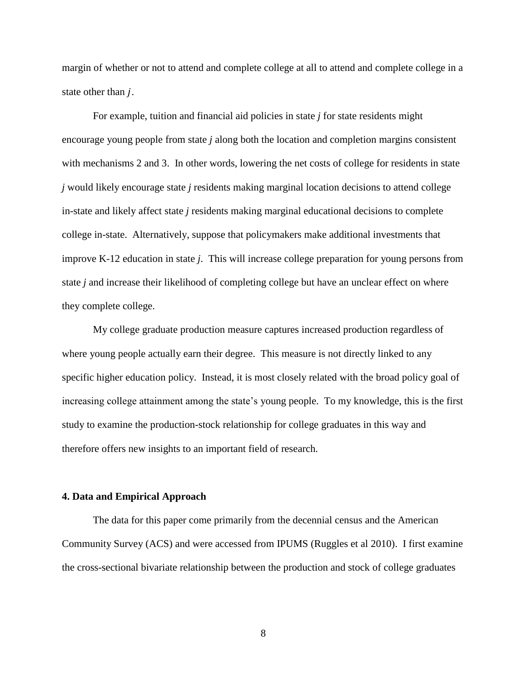margin of whether or not to attend and complete college at all to attend and complete college in a state other than  $j$ .

For example, tuition and financial aid policies in state *j* for state residents might encourage young people from state *j* along both the location and completion margins consistent with mechanisms 2 and 3. In other words, lowering the net costs of college for residents in state *j* would likely encourage state *j* residents making marginal location decisions to attend college in-state and likely affect state *j* residents making marginal educational decisions to complete college in-state. Alternatively, suppose that policymakers make additional investments that improve K-12 education in state *j*. This will increase college preparation for young persons from state *j* and increase their likelihood of completing college but have an unclear effect on where they complete college.

My college graduate production measure captures increased production regardless of where young people actually earn their degree. This measure is not directly linked to any specific higher education policy. Instead, it is most closely related with the broad policy goal of increasing college attainment among the state's young people. To my knowledge, this is the first study to examine the production-stock relationship for college graduates in this way and therefore offers new insights to an important field of research.

#### **4. Data and Empirical Approach**

The data for this paper come primarily from the decennial census and the American Community Survey (ACS) and were accessed from IPUMS (Ruggles et al 2010). I first examine the cross-sectional bivariate relationship between the production and stock of college graduates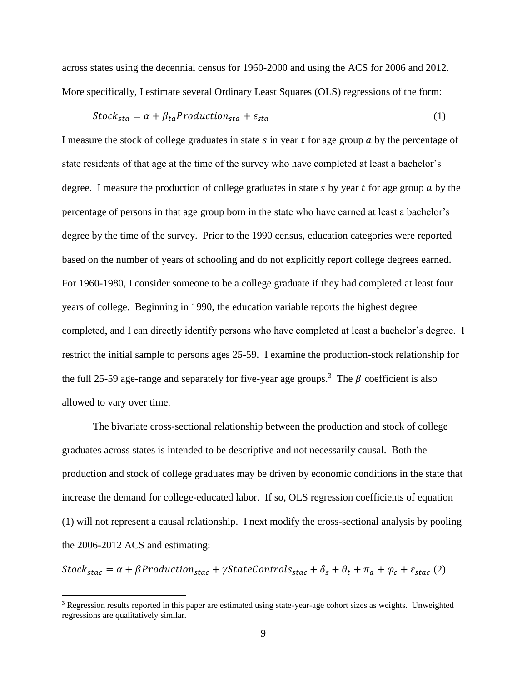across states using the decennial census for 1960-2000 and using the ACS for 2006 and 2012. More specifically, I estimate several Ordinary Least Squares (OLS) regressions of the form:

$$
Stock_{sta} = \alpha + \beta_{ta} Production_{sta} + \varepsilon_{sta}
$$
 (1)

I measure the stock of college graduates in state  $s$  in year  $t$  for age group  $a$  by the percentage of state residents of that age at the time of the survey who have completed at least a bachelor's degree. I measure the production of college graduates in state  $s$  by year  $t$  for age group  $a$  by the percentage of persons in that age group born in the state who have earned at least a bachelor's degree by the time of the survey. Prior to the 1990 census, education categories were reported based on the number of years of schooling and do not explicitly report college degrees earned. For 1960-1980, I consider someone to be a college graduate if they had completed at least four years of college. Beginning in 1990, the education variable reports the highest degree completed, and I can directly identify persons who have completed at least a bachelor's degree. I restrict the initial sample to persons ages 25-59. I examine the production-stock relationship for the full 25-59 age-range and separately for five-year age groups.<sup>3</sup> The  $\beta$  coefficient is also allowed to vary over time.

The bivariate cross-sectional relationship between the production and stock of college graduates across states is intended to be descriptive and not necessarily causal. Both the production and stock of college graduates may be driven by economic conditions in the state that increase the demand for college-educated labor. If so, OLS regression coefficients of equation (1) will not represent a causal relationship. I next modify the cross-sectional analysis by pooling the 2006-2012 ACS and estimating:

 $Stock_{\text{stac}} = \alpha + \beta Production_{\text{stac}} + \gamma StateControls_{\text{stac}} + \delta_s + \theta_t + \pi_a + \varphi_c + \varepsilon_{\text{stac}}$  (2)

 $3$  Regression results reported in this paper are estimated using state-year-age cohort sizes as weights. Unweighted regressions are qualitatively similar.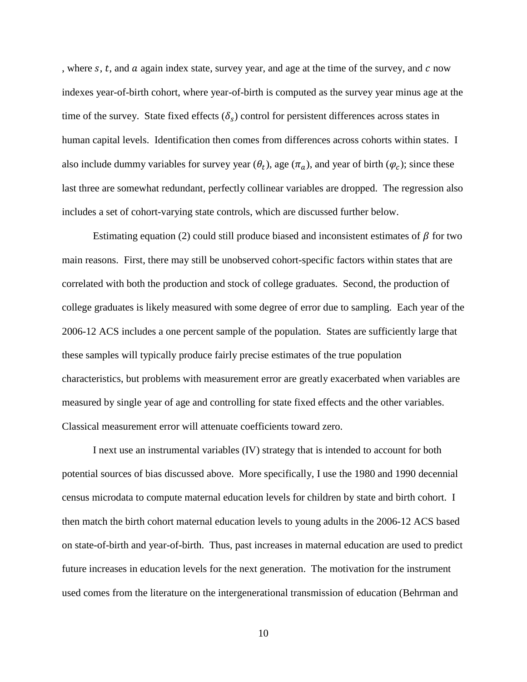, where  $s$ ,  $t$ , and  $\alpha$  again index state, survey year, and age at the time of the survey, and  $c$  now indexes year-of-birth cohort, where year-of-birth is computed as the survey year minus age at the time of the survey. State fixed effects  $(\delta_s)$  control for persistent differences across states in human capital levels. Identification then comes from differences across cohorts within states. I also include dummy variables for survey year  $(\theta_t)$ , age  $(\pi_a)$ , and year of birth  $(\varphi_c)$ ; since these last three are somewhat redundant, perfectly collinear variables are dropped. The regression also includes a set of cohort-varying state controls, which are discussed further below.

Estimating equation (2) could still produce biased and inconsistent estimates of  $\beta$  for two main reasons. First, there may still be unobserved cohort-specific factors within states that are correlated with both the production and stock of college graduates. Second, the production of college graduates is likely measured with some degree of error due to sampling. Each year of the 2006-12 ACS includes a one percent sample of the population. States are sufficiently large that these samples will typically produce fairly precise estimates of the true population characteristics, but problems with measurement error are greatly exacerbated when variables are measured by single year of age and controlling for state fixed effects and the other variables. Classical measurement error will attenuate coefficients toward zero.

I next use an instrumental variables (IV) strategy that is intended to account for both potential sources of bias discussed above. More specifically, I use the 1980 and 1990 decennial census microdata to compute maternal education levels for children by state and birth cohort. I then match the birth cohort maternal education levels to young adults in the 2006-12 ACS based on state-of-birth and year-of-birth. Thus, past increases in maternal education are used to predict future increases in education levels for the next generation. The motivation for the instrument used comes from the literature on the intergenerational transmission of education (Behrman and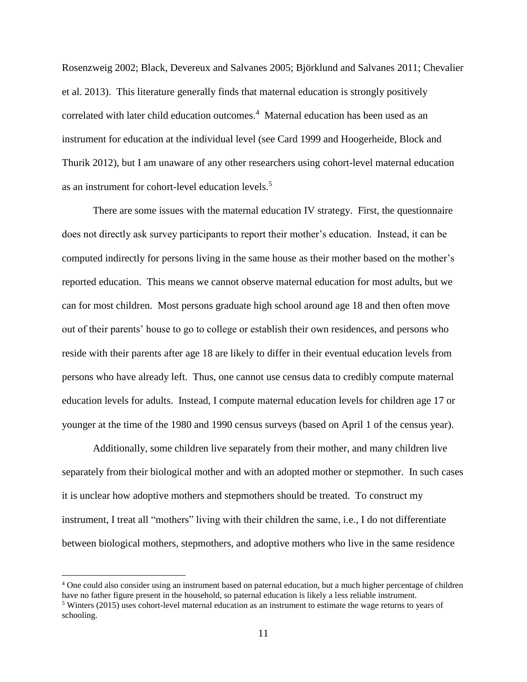Rosenzweig 2002; Black, Devereux and Salvanes 2005; Björklund and Salvanes 2011; Chevalier et al. 2013). This literature generally finds that maternal education is strongly positively correlated with later child education outcomes.<sup>4</sup> Maternal education has been used as an instrument for education at the individual level (see Card 1999 and Hoogerheide, Block and Thurik 2012), but I am unaware of any other researchers using cohort-level maternal education as an instrument for cohort-level education levels.<sup>5</sup>

There are some issues with the maternal education IV strategy. First, the questionnaire does not directly ask survey participants to report their mother's education. Instead, it can be computed indirectly for persons living in the same house as their mother based on the mother's reported education. This means we cannot observe maternal education for most adults, but we can for most children. Most persons graduate high school around age 18 and then often move out of their parents' house to go to college or establish their own residences, and persons who reside with their parents after age 18 are likely to differ in their eventual education levels from persons who have already left. Thus, one cannot use census data to credibly compute maternal education levels for adults. Instead, I compute maternal education levels for children age 17 or younger at the time of the 1980 and 1990 census surveys (based on April 1 of the census year).

Additionally, some children live separately from their mother, and many children live separately from their biological mother and with an adopted mother or stepmother. In such cases it is unclear how adoptive mothers and stepmothers should be treated. To construct my instrument, I treat all "mothers" living with their children the same, i.e., I do not differentiate between biological mothers, stepmothers, and adoptive mothers who live in the same residence

<sup>4</sup> One could also consider using an instrument based on paternal education, but a much higher percentage of children have no father figure present in the household, so paternal education is likely a less reliable instrument. <sup>5</sup> Winters (2015) uses cohort-level maternal education as an instrument to estimate the wage returns to years of schooling.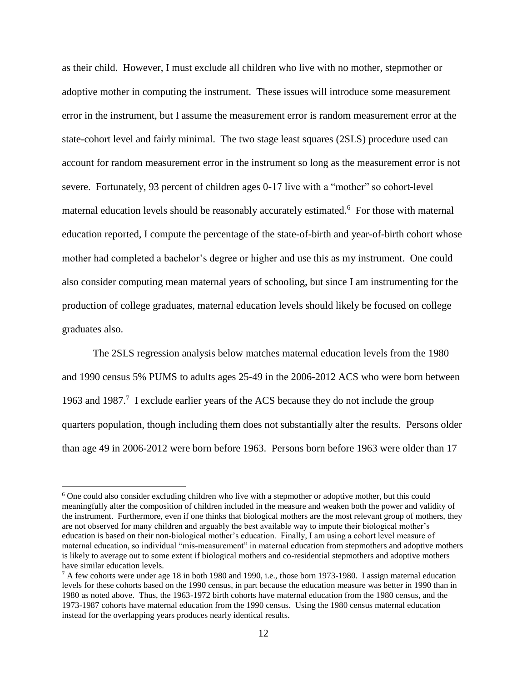as their child. However, I must exclude all children who live with no mother, stepmother or adoptive mother in computing the instrument. These issues will introduce some measurement error in the instrument, but I assume the measurement error is random measurement error at the state-cohort level and fairly minimal. The two stage least squares (2SLS) procedure used can account for random measurement error in the instrument so long as the measurement error is not severe. Fortunately, 93 percent of children ages 0-17 live with a "mother" so cohort-level maternal education levels should be reasonably accurately estimated.<sup>6</sup> For those with maternal education reported, I compute the percentage of the state-of-birth and year-of-birth cohort whose mother had completed a bachelor's degree or higher and use this as my instrument. One could also consider computing mean maternal years of schooling, but since I am instrumenting for the production of college graduates, maternal education levels should likely be focused on college graduates also.

The 2SLS regression analysis below matches maternal education levels from the 1980 and 1990 census 5% PUMS to adults ages 25-49 in the 2006-2012 ACS who were born between 1963 and 1987.<sup>7</sup> I exclude earlier years of the ACS because they do not include the group quarters population, though including them does not substantially alter the results. Persons older than age 49 in 2006-2012 were born before 1963. Persons born before 1963 were older than 17

<sup>6</sup> One could also consider excluding children who live with a stepmother or adoptive mother, but this could meaningfully alter the composition of children included in the measure and weaken both the power and validity of the instrument. Furthermore, even if one thinks that biological mothers are the most relevant group of mothers, they are not observed for many children and arguably the best available way to impute their biological mother's education is based on their non-biological mother's education. Finally, I am using a cohort level measure of maternal education, so individual "mis-measurement" in maternal education from stepmothers and adoptive mothers is likely to average out to some extent if biological mothers and co-residential stepmothers and adoptive mothers have similar education levels.

 $^7$  A few cohorts were under age 18 in both 1980 and 1990, i.e., those born 1973-1980. I assign maternal education levels for these cohorts based on the 1990 census, in part because the education measure was better in 1990 than in 1980 as noted above. Thus, the 1963-1972 birth cohorts have maternal education from the 1980 census, and the 1973-1987 cohorts have maternal education from the 1990 census. Using the 1980 census maternal education instead for the overlapping years produces nearly identical results.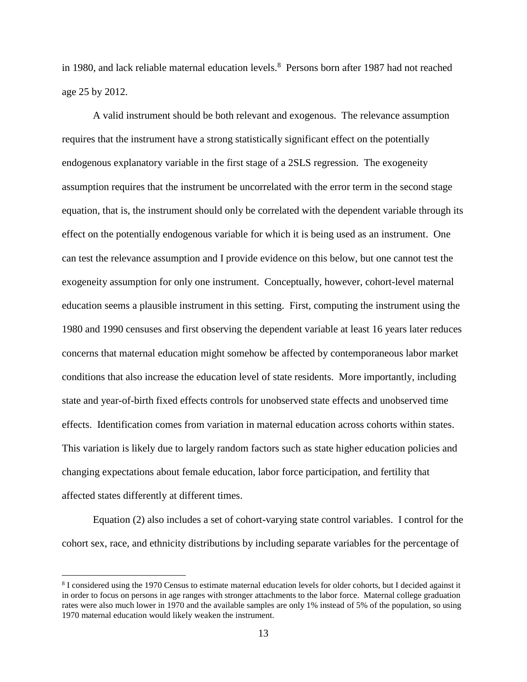in 1980, and lack reliable maternal education levels.<sup>8</sup> Persons born after 1987 had not reached age 25 by 2012.

A valid instrument should be both relevant and exogenous. The relevance assumption requires that the instrument have a strong statistically significant effect on the potentially endogenous explanatory variable in the first stage of a 2SLS regression. The exogeneity assumption requires that the instrument be uncorrelated with the error term in the second stage equation, that is, the instrument should only be correlated with the dependent variable through its effect on the potentially endogenous variable for which it is being used as an instrument. One can test the relevance assumption and I provide evidence on this below, but one cannot test the exogeneity assumption for only one instrument. Conceptually, however, cohort-level maternal education seems a plausible instrument in this setting. First, computing the instrument using the 1980 and 1990 censuses and first observing the dependent variable at least 16 years later reduces concerns that maternal education might somehow be affected by contemporaneous labor market conditions that also increase the education level of state residents. More importantly, including state and year-of-birth fixed effects controls for unobserved state effects and unobserved time effects. Identification comes from variation in maternal education across cohorts within states. This variation is likely due to largely random factors such as state higher education policies and changing expectations about female education, labor force participation, and fertility that affected states differently at different times.

Equation (2) also includes a set of cohort-varying state control variables. I control for the cohort sex, race, and ethnicity distributions by including separate variables for the percentage of

<sup>&</sup>lt;sup>8</sup> I considered using the 1970 Census to estimate maternal education levels for older cohorts, but I decided against it in order to focus on persons in age ranges with stronger attachments to the labor force. Maternal college graduation rates were also much lower in 1970 and the available samples are only 1% instead of 5% of the population, so using 1970 maternal education would likely weaken the instrument.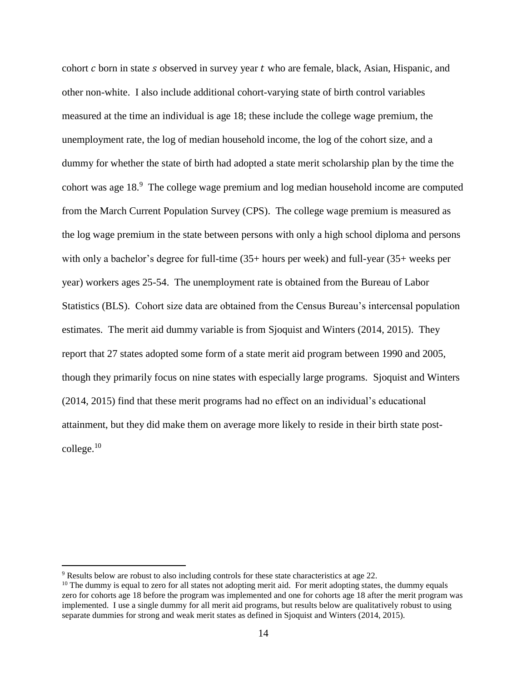cohort  $c$  born in state  $s$  observed in survey year  $t$  who are female, black, Asian, Hispanic, and other non-white. I also include additional cohort-varying state of birth control variables measured at the time an individual is age 18; these include the college wage premium, the unemployment rate, the log of median household income, the log of the cohort size, and a dummy for whether the state of birth had adopted a state merit scholarship plan by the time the cohort was age 18. 9 The college wage premium and log median household income are computed from the March Current Population Survey (CPS). The college wage premium is measured as the log wage premium in the state between persons with only a high school diploma and persons with only a bachelor's degree for full-time (35+ hours per week) and full-year (35+ weeks per year) workers ages 25-54. The unemployment rate is obtained from the Bureau of Labor Statistics (BLS). Cohort size data are obtained from the Census Bureau's intercensal population estimates. The merit aid dummy variable is from Sjoquist and Winters (2014, 2015). They report that 27 states adopted some form of a state merit aid program between 1990 and 2005, though they primarily focus on nine states with especially large programs. Sjoquist and Winters (2014, 2015) find that these merit programs had no effect on an individual's educational attainment, but they did make them on average more likely to reside in their birth state post- $\text{college.}^{10}$ 

<sup>9</sup> Results below are robust to also including controls for these state characteristics at age 22.

 $10$  The dummy is equal to zero for all states not adopting merit aid. For merit adopting states, the dummy equals zero for cohorts age 18 before the program was implemented and one for cohorts age 18 after the merit program was implemented. I use a single dummy for all merit aid programs, but results below are qualitatively robust to using separate dummies for strong and weak merit states as defined in Sjoquist and Winters (2014, 2015).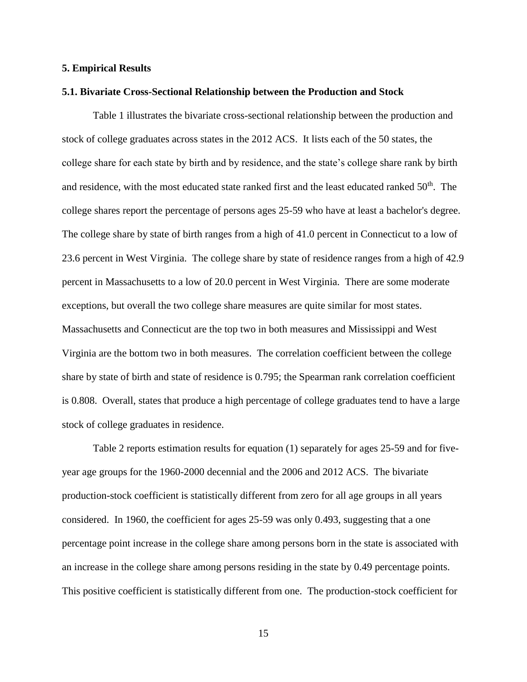#### **5. Empirical Results**

#### **5.1. Bivariate Cross-Sectional Relationship between the Production and Stock**

Table 1 illustrates the bivariate cross-sectional relationship between the production and stock of college graduates across states in the 2012 ACS. It lists each of the 50 states, the college share for each state by birth and by residence, and the state's college share rank by birth and residence, with the most educated state ranked first and the least educated ranked 50<sup>th</sup>. The college shares report the percentage of persons ages 25-59 who have at least a bachelor's degree. The college share by state of birth ranges from a high of 41.0 percent in Connecticut to a low of 23.6 percent in West Virginia. The college share by state of residence ranges from a high of 42.9 percent in Massachusetts to a low of 20.0 percent in West Virginia. There are some moderate exceptions, but overall the two college share measures are quite similar for most states. Massachusetts and Connecticut are the top two in both measures and Mississippi and West Virginia are the bottom two in both measures. The correlation coefficient between the college share by state of birth and state of residence is 0.795; the Spearman rank correlation coefficient is 0.808. Overall, states that produce a high percentage of college graduates tend to have a large stock of college graduates in residence.

Table 2 reports estimation results for equation (1) separately for ages 25-59 and for fiveyear age groups for the 1960-2000 decennial and the 2006 and 2012 ACS. The bivariate production-stock coefficient is statistically different from zero for all age groups in all years considered. In 1960, the coefficient for ages 25-59 was only 0.493, suggesting that a one percentage point increase in the college share among persons born in the state is associated with an increase in the college share among persons residing in the state by 0.49 percentage points. This positive coefficient is statistically different from one. The production-stock coefficient for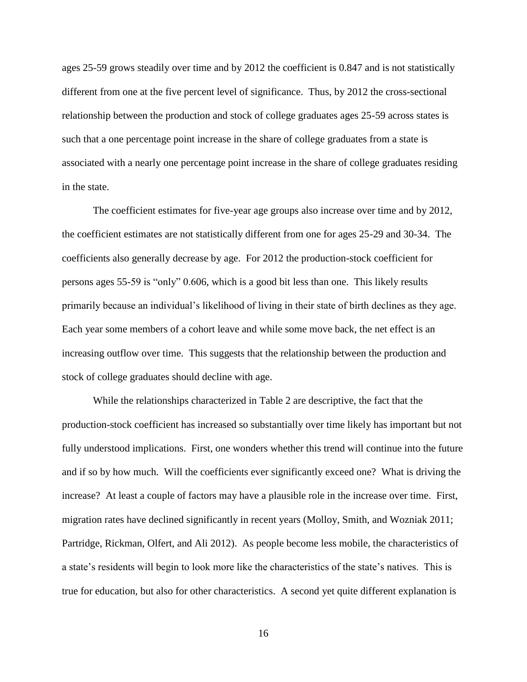ages 25-59 grows steadily over time and by 2012 the coefficient is 0.847 and is not statistically different from one at the five percent level of significance. Thus, by 2012 the cross-sectional relationship between the production and stock of college graduates ages 25-59 across states is such that a one percentage point increase in the share of college graduates from a state is associated with a nearly one percentage point increase in the share of college graduates residing in the state.

The coefficient estimates for five-year age groups also increase over time and by 2012, the coefficient estimates are not statistically different from one for ages 25-29 and 30-34. The coefficients also generally decrease by age. For 2012 the production-stock coefficient for persons ages 55-59 is "only" 0.606, which is a good bit less than one. This likely results primarily because an individual's likelihood of living in their state of birth declines as they age. Each year some members of a cohort leave and while some move back, the net effect is an increasing outflow over time. This suggests that the relationship between the production and stock of college graduates should decline with age.

While the relationships characterized in Table 2 are descriptive, the fact that the production-stock coefficient has increased so substantially over time likely has important but not fully understood implications. First, one wonders whether this trend will continue into the future and if so by how much. Will the coefficients ever significantly exceed one? What is driving the increase? At least a couple of factors may have a plausible role in the increase over time. First, migration rates have declined significantly in recent years (Molloy, Smith, and Wozniak 2011; Partridge, Rickman, Olfert, and Ali 2012). As people become less mobile, the characteristics of a state's residents will begin to look more like the characteristics of the state's natives. This is true for education, but also for other characteristics. A second yet quite different explanation is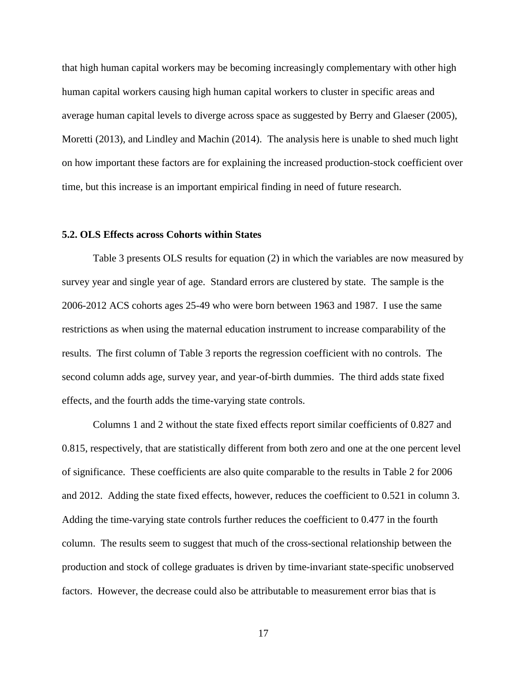that high human capital workers may be becoming increasingly complementary with other high human capital workers causing high human capital workers to cluster in specific areas and average human capital levels to diverge across space as suggested by Berry and Glaeser (2005), Moretti (2013), and Lindley and Machin (2014). The analysis here is unable to shed much light on how important these factors are for explaining the increased production-stock coefficient over time, but this increase is an important empirical finding in need of future research.

#### **5.2. OLS Effects across Cohorts within States**

Table 3 presents OLS results for equation (2) in which the variables are now measured by survey year and single year of age. Standard errors are clustered by state. The sample is the 2006-2012 ACS cohorts ages 25-49 who were born between 1963 and 1987. I use the same restrictions as when using the maternal education instrument to increase comparability of the results. The first column of Table 3 reports the regression coefficient with no controls. The second column adds age, survey year, and year-of-birth dummies. The third adds state fixed effects, and the fourth adds the time-varying state controls.

Columns 1 and 2 without the state fixed effects report similar coefficients of 0.827 and 0.815, respectively, that are statistically different from both zero and one at the one percent level of significance. These coefficients are also quite comparable to the results in Table 2 for 2006 and 2012. Adding the state fixed effects, however, reduces the coefficient to 0.521 in column 3. Adding the time-varying state controls further reduces the coefficient to 0.477 in the fourth column. The results seem to suggest that much of the cross-sectional relationship between the production and stock of college graduates is driven by time-invariant state-specific unobserved factors. However, the decrease could also be attributable to measurement error bias that is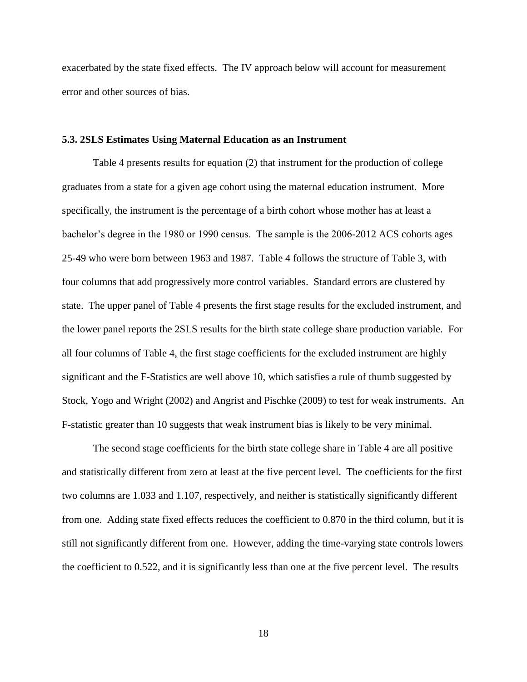exacerbated by the state fixed effects. The IV approach below will account for measurement error and other sources of bias.

#### **5.3. 2SLS Estimates Using Maternal Education as an Instrument**

Table 4 presents results for equation (2) that instrument for the production of college graduates from a state for a given age cohort using the maternal education instrument. More specifically, the instrument is the percentage of a birth cohort whose mother has at least a bachelor's degree in the 1980 or 1990 census. The sample is the 2006-2012 ACS cohorts ages 25-49 who were born between 1963 and 1987. Table 4 follows the structure of Table 3, with four columns that add progressively more control variables. Standard errors are clustered by state. The upper panel of Table 4 presents the first stage results for the excluded instrument, and the lower panel reports the 2SLS results for the birth state college share production variable. For all four columns of Table 4, the first stage coefficients for the excluded instrument are highly significant and the F-Statistics are well above 10, which satisfies a rule of thumb suggested by Stock, Yogo and Wright (2002) and Angrist and Pischke (2009) to test for weak instruments. An F-statistic greater than 10 suggests that weak instrument bias is likely to be very minimal.

The second stage coefficients for the birth state college share in Table 4 are all positive and statistically different from zero at least at the five percent level. The coefficients for the first two columns are 1.033 and 1.107, respectively, and neither is statistically significantly different from one. Adding state fixed effects reduces the coefficient to 0.870 in the third column, but it is still not significantly different from one. However, adding the time-varying state controls lowers the coefficient to 0.522, and it is significantly less than one at the five percent level. The results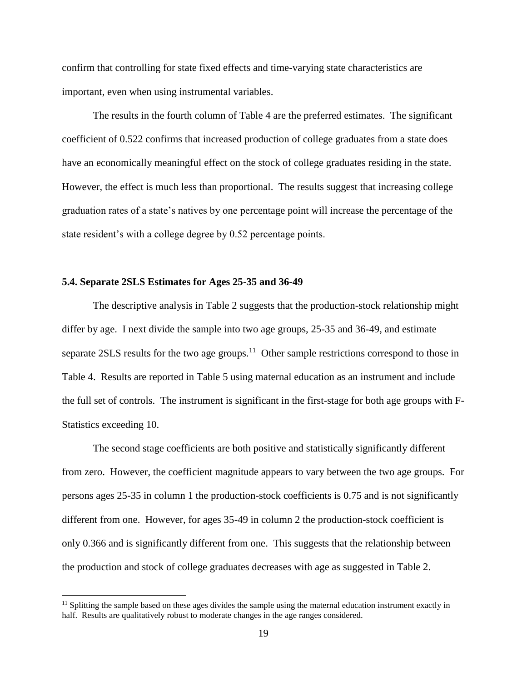confirm that controlling for state fixed effects and time-varying state characteristics are important, even when using instrumental variables.

The results in the fourth column of Table 4 are the preferred estimates. The significant coefficient of 0.522 confirms that increased production of college graduates from a state does have an economically meaningful effect on the stock of college graduates residing in the state. However, the effect is much less than proportional. The results suggest that increasing college graduation rates of a state's natives by one percentage point will increase the percentage of the state resident's with a college degree by 0.52 percentage points.

#### **5.4. Separate 2SLS Estimates for Ages 25-35 and 36-49**

 $\overline{a}$ 

The descriptive analysis in Table 2 suggests that the production-stock relationship might differ by age. I next divide the sample into two age groups, 25-35 and 36-49, and estimate separate 2SLS results for the two age groups.<sup>11</sup> Other sample restrictions correspond to those in Table 4. Results are reported in Table 5 using maternal education as an instrument and include the full set of controls. The instrument is significant in the first-stage for both age groups with F-Statistics exceeding 10.

The second stage coefficients are both positive and statistically significantly different from zero. However, the coefficient magnitude appears to vary between the two age groups. For persons ages 25-35 in column 1 the production-stock coefficients is 0.75 and is not significantly different from one. However, for ages 35-49 in column 2 the production-stock coefficient is only 0.366 and is significantly different from one. This suggests that the relationship between the production and stock of college graduates decreases with age as suggested in Table 2.

 $<sup>11</sup>$  Splitting the sample based on these ages divides the sample using the maternal education instrument exactly in</sup> half. Results are qualitatively robust to moderate changes in the age ranges considered.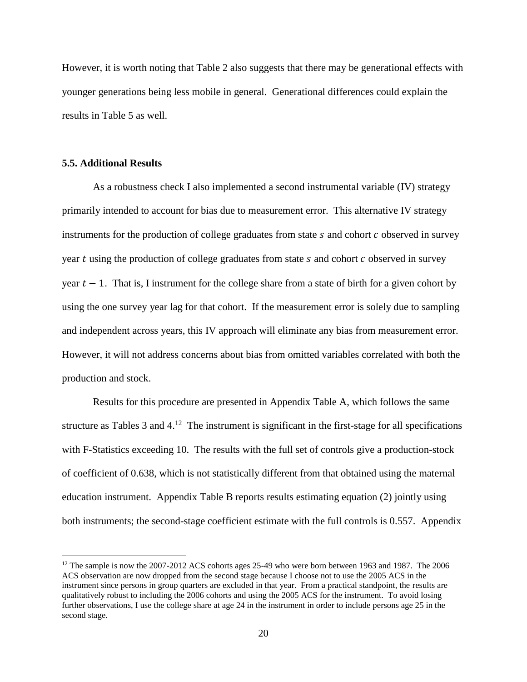However, it is worth noting that Table 2 also suggests that there may be generational effects with younger generations being less mobile in general. Generational differences could explain the results in Table 5 as well.

#### **5.5. Additional Results**

 $\overline{a}$ 

As a robustness check I also implemented a second instrumental variable (IV) strategy primarily intended to account for bias due to measurement error. This alternative IV strategy instruments for the production of college graduates from state  $s$  and cohort  $c$  observed in survey year  $t$  using the production of college graduates from state  $s$  and cohort  $c$  observed in survey year  $t - 1$ . That is, I instrument for the college share from a state of birth for a given cohort by using the one survey year lag for that cohort. If the measurement error is solely due to sampling and independent across years, this IV approach will eliminate any bias from measurement error. However, it will not address concerns about bias from omitted variables correlated with both the production and stock.

Results for this procedure are presented in Appendix Table A, which follows the same structure as Tables  $3$  and  $4<sup>12</sup>$ . The instrument is significant in the first-stage for all specifications with F-Statistics exceeding 10. The results with the full set of controls give a production-stock of coefficient of 0.638, which is not statistically different from that obtained using the maternal education instrument. Appendix Table B reports results estimating equation (2) jointly using both instruments; the second-stage coefficient estimate with the full controls is 0.557. Appendix

<sup>&</sup>lt;sup>12</sup> The sample is now the 2007-2012 ACS cohorts ages 25-49 who were born between 1963 and 1987. The 2006 ACS observation are now dropped from the second stage because I choose not to use the 2005 ACS in the instrument since persons in group quarters are excluded in that year. From a practical standpoint, the results are qualitatively robust to including the 2006 cohorts and using the 2005 ACS for the instrument. To avoid losing further observations, I use the college share at age 24 in the instrument in order to include persons age 25 in the second stage.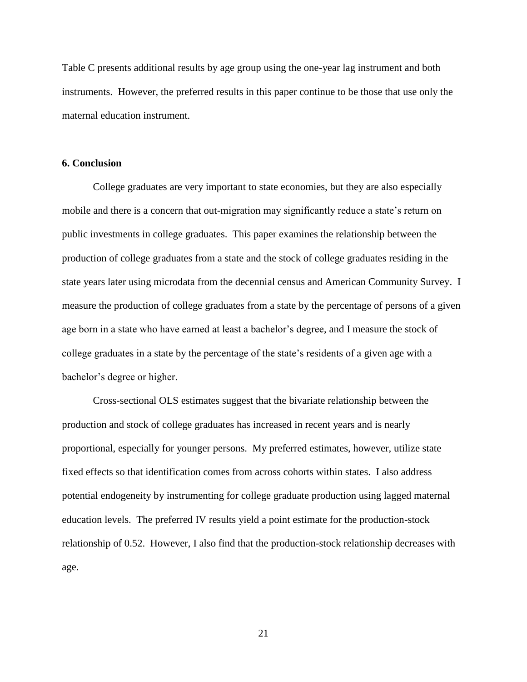Table C presents additional results by age group using the one-year lag instrument and both instruments. However, the preferred results in this paper continue to be those that use only the maternal education instrument.

#### **6. Conclusion**

College graduates are very important to state economies, but they are also especially mobile and there is a concern that out-migration may significantly reduce a state's return on public investments in college graduates. This paper examines the relationship between the production of college graduates from a state and the stock of college graduates residing in the state years later using microdata from the decennial census and American Community Survey. I measure the production of college graduates from a state by the percentage of persons of a given age born in a state who have earned at least a bachelor's degree, and I measure the stock of college graduates in a state by the percentage of the state's residents of a given age with a bachelor's degree or higher.

Cross-sectional OLS estimates suggest that the bivariate relationship between the production and stock of college graduates has increased in recent years and is nearly proportional, especially for younger persons. My preferred estimates, however, utilize state fixed effects so that identification comes from across cohorts within states. I also address potential endogeneity by instrumenting for college graduate production using lagged maternal education levels. The preferred IV results yield a point estimate for the production-stock relationship of 0.52. However, I also find that the production-stock relationship decreases with age.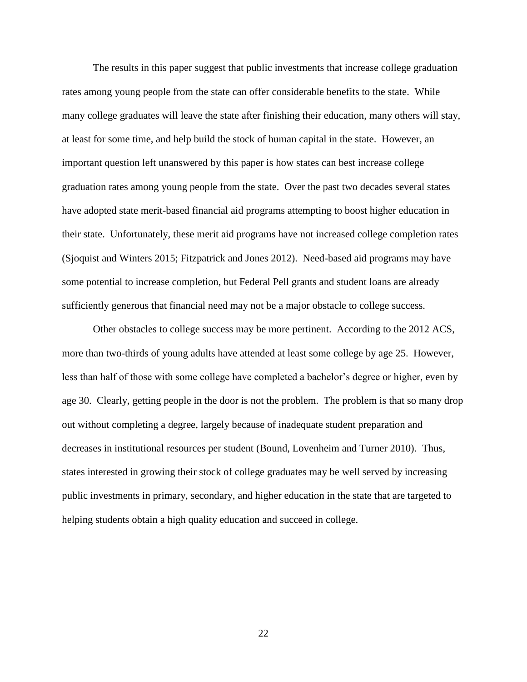The results in this paper suggest that public investments that increase college graduation rates among young people from the state can offer considerable benefits to the state. While many college graduates will leave the state after finishing their education, many others will stay, at least for some time, and help build the stock of human capital in the state. However, an important question left unanswered by this paper is how states can best increase college graduation rates among young people from the state. Over the past two decades several states have adopted state merit-based financial aid programs attempting to boost higher education in their state. Unfortunately, these merit aid programs have not increased college completion rates (Sjoquist and Winters 2015; Fitzpatrick and Jones 2012). Need-based aid programs may have some potential to increase completion, but Federal Pell grants and student loans are already sufficiently generous that financial need may not be a major obstacle to college success.

Other obstacles to college success may be more pertinent. According to the 2012 ACS, more than two-thirds of young adults have attended at least some college by age 25. However, less than half of those with some college have completed a bachelor's degree or higher, even by age 30. Clearly, getting people in the door is not the problem. The problem is that so many drop out without completing a degree, largely because of inadequate student preparation and decreases in institutional resources per student (Bound, Lovenheim and Turner 2010). Thus, states interested in growing their stock of college graduates may be well served by increasing public investments in primary, secondary, and higher education in the state that are targeted to helping students obtain a high quality education and succeed in college.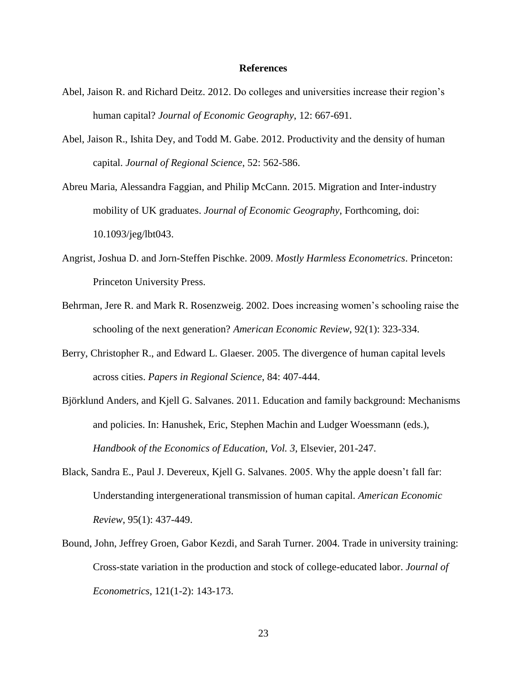#### **References**

- Abel, Jaison R. and Richard Deitz. 2012. Do colleges and universities increase their region's human capital? *Journal of Economic Geography*, 12: 667-691.
- Abel, Jaison R., Ishita Dey, and Todd M. Gabe. 2012. Productivity and the density of human capital. *Journal of Regional Science*, 52: 562-586.
- Abreu Maria, Alessandra Faggian, and Philip McCann. 2015. Migration and Inter-industry mobility of UK graduates. *Journal of Economic Geography*, Forthcoming, doi: 10.1093/jeg/lbt043.
- Angrist, Joshua D. and Jorn-Steffen Pischke. 2009. *Mostly Harmless Econometrics*. Princeton: Princeton University Press.
- Behrman, Jere R. and Mark R. Rosenzweig. 2002. Does increasing women's schooling raise the schooling of the next generation? *American Economic Review*, 92(1): 323-334.
- Berry, Christopher R., and Edward L. Glaeser. 2005. The divergence of human capital levels across cities. *Papers in Regional Science*, 84: 407-444.
- Björklund Anders, and Kjell G. Salvanes. 2011. Education and family background: Mechanisms and policies. In: Hanushek, Eric, Stephen Machin and Ludger Woessmann (eds.), *Handbook of the Economics of Education*, *Vol. 3*, Elsevier, 201-247.
- Black, Sandra E., Paul J. Devereux, Kjell G. Salvanes. 2005. Why the apple doesn't fall far: Understanding intergenerational transmission of human capital. *American Economic Review*, 95(1): 437-449.
- Bound, John, Jeffrey Groen, Gabor Kezdi, and Sarah Turner. 2004. Trade in university training: Cross-state variation in the production and stock of college-educated labor. *Journal of Econometrics*, 121(1-2): 143-173.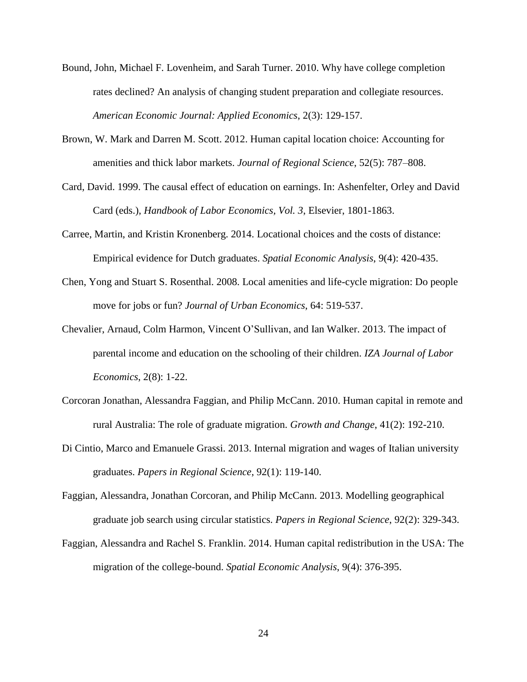- Bound, John, Michael F. Lovenheim, and Sarah Turner. 2010. Why have college completion rates declined? An analysis of changing student preparation and collegiate resources. *American Economic Journal: Applied Economics*, 2(3): 129-157.
- Brown, W. Mark and Darren M. Scott. 2012. Human capital location choice: Accounting for amenities and thick labor markets. *Journal of Regional Science*, 52(5): 787–808.
- Card, David. 1999. The causal effect of education on earnings. In: Ashenfelter, Orley and David Card (eds.), *Handbook of Labor Economics, Vol. 3*, Elsevier, 1801-1863.
- Carree, Martin, and Kristin Kronenberg. 2014. Locational choices and the costs of distance: Empirical evidence for Dutch graduates. *Spatial Economic Analysis*, 9(4): 420-435.
- Chen, Yong and Stuart S. Rosenthal. 2008. Local amenities and life-cycle migration: Do people move for jobs or fun? *Journal of Urban Economics*, 64: 519-537.
- Chevalier, Arnaud, Colm Harmon, Vincent O'Sullivan, and Ian Walker. 2013. The impact of parental income and education on the schooling of their children. *IZA Journal of Labor Economics*, 2(8): 1-22.
- Corcoran Jonathan, Alessandra Faggian, and Philip McCann. 2010. Human capital in remote and rural Australia: The role of graduate migration. *Growth and Change*, 41(2): 192-210.
- Di Cintio, Marco and Emanuele Grassi. 2013. Internal migration and wages of Italian university graduates. *Papers in Regional Science*, 92(1): 119-140.
- Faggian, Alessandra, Jonathan Corcoran, and Philip McCann. 2013. Modelling geographical graduate job search using circular statistics. *Papers in Regional Science*, 92(2): 329-343.
- Faggian, Alessandra and Rachel S. Franklin. 2014. Human capital redistribution in the USA: The migration of the college-bound. *Spatial Economic Analysis*, 9(4): 376-395.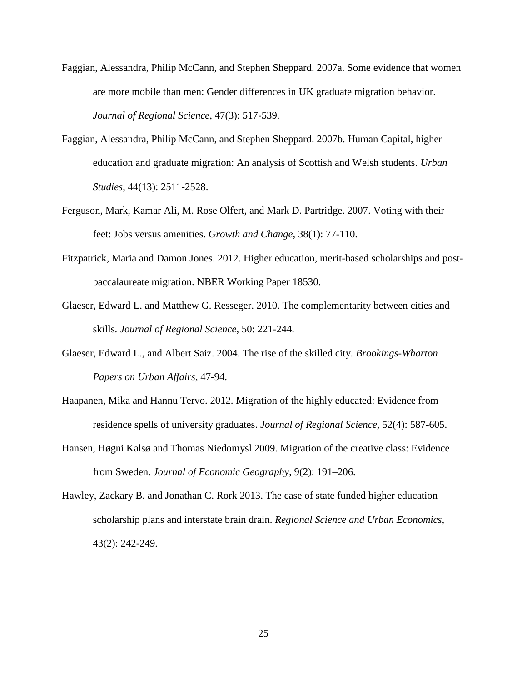- Faggian, Alessandra, Philip McCann, and Stephen Sheppard. 2007a. Some evidence that women are more mobile than men: Gender differences in UK graduate migration behavior. *Journal of Regional Science*, 47(3): 517-539.
- Faggian, Alessandra, Philip McCann, and Stephen Sheppard. 2007b. Human Capital, higher education and graduate migration: An analysis of Scottish and Welsh students. *Urban Studies*, 44(13): 2511-2528.
- Ferguson, Mark, Kamar Ali, M. Rose Olfert, and Mark D. Partridge. 2007. Voting with their feet: Jobs versus amenities. *Growth and Change,* 38(1): 77-110.
- Fitzpatrick, Maria and Damon Jones. 2012. Higher education, merit-based scholarships and postbaccalaureate migration. NBER Working Paper 18530.
- Glaeser, Edward L. and Matthew G. Resseger. 2010. The complementarity between cities and skills. *Journal of Regional Science*, 50: 221-244.
- Glaeser, Edward L., and Albert Saiz. 2004. The rise of the skilled city. *Brookings-Wharton Papers on Urban Affairs*, 47-94.
- Haapanen, Mika and Hannu Tervo. 2012. Migration of the highly educated: Evidence from residence spells of university graduates. *Journal of Regional Science*, 52(4): 587-605.
- Hansen, Høgni Kalsø and Thomas Niedomysl 2009. Migration of the creative class: Evidence from Sweden. *Journal of Economic Geography*, 9(2): 191–206.
- Hawley, Zackary B. and Jonathan C. Rork 2013. The case of state funded higher education scholarship plans and interstate brain drain. *Regional Science and Urban Economics*, 43(2): 242-249.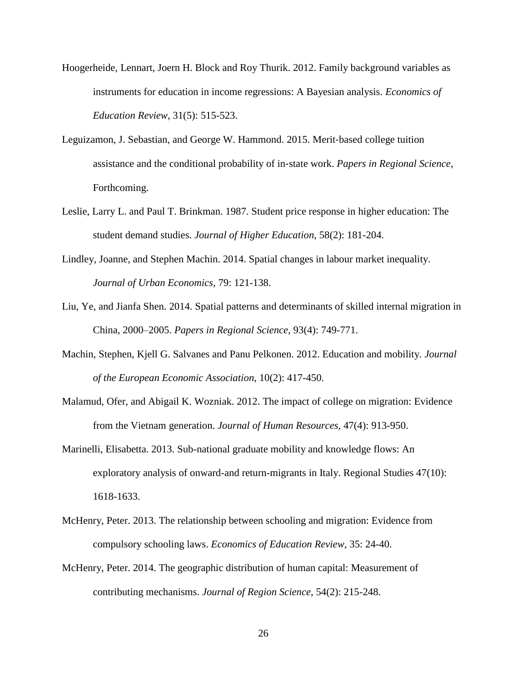- Hoogerheide, Lennart, Joern H. Block and Roy Thurik. 2012. Family background variables as instruments for education in income regressions: A Bayesian analysis. *Economics of Education Review*, 31(5): 515-523.
- Leguizamon, J. Sebastian, and George W. Hammond. 2015. Merit‐based college tuition assistance and the conditional probability of in‐state work. *Papers in Regional Science*, Forthcoming.
- Leslie, Larry L. and Paul T. Brinkman. 1987. Student price response in higher education: The student demand studies. *Journal of Higher Education*, 58(2): 181-204.
- Lindley, Joanne, and Stephen Machin. 2014. Spatial changes in labour market inequality. *Journal of Urban Economics*, 79: 121-138.
- Liu, Ye, and Jianfa Shen. 2014. Spatial patterns and determinants of skilled internal migration in China, 2000–2005. *Papers in Regional Science*, 93(4): 749-771.
- Machin, Stephen, Kjell G. Salvanes and Panu Pelkonen. 2012. Education and mobility. *Journal of the European Economic Association*, 10(2): 417-450.
- Malamud, Ofer, and Abigail K. Wozniak. 2012. The impact of college on migration: Evidence from the Vietnam generation. *Journal of Human Resources*, 47(4): 913-950.
- Marinelli, Elisabetta. 2013. Sub-national graduate mobility and knowledge flows: An exploratory analysis of onward-and return-migrants in Italy. Regional Studies 47(10): 1618-1633.
- McHenry, Peter. 2013. The relationship between schooling and migration: Evidence from compulsory schooling laws. *Economics of Education Review*, 35: 24-40.
- McHenry, Peter. 2014. The geographic distribution of human capital: Measurement of contributing mechanisms. *Journal of Region Science*, 54(2): 215-248.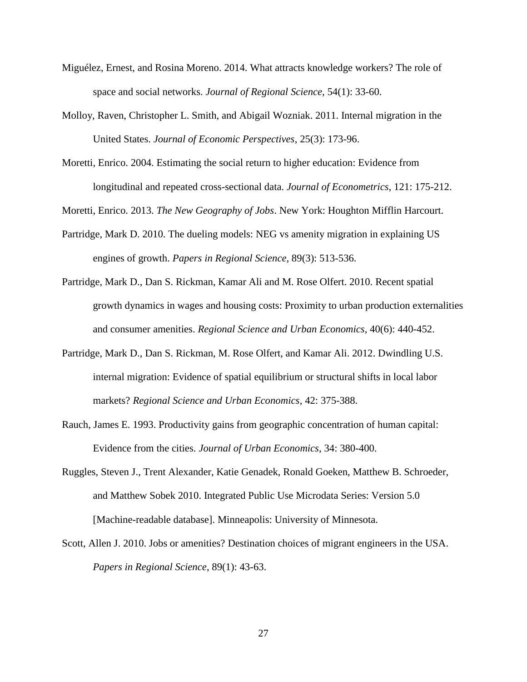- Miguélez, Ernest, and Rosina Moreno. 2014. What attracts knowledge workers? The role of space and social networks. *Journal of Regional Science*, 54(1): 33-60.
- Molloy, Raven, Christopher L. Smith, and Abigail Wozniak. 2011. Internal migration in the United States. *Journal of Economic Perspectives*, 25(3): 173-96.
- Moretti, Enrico. 2004. Estimating the social return to higher education: Evidence from longitudinal and repeated cross-sectional data. *Journal of Econometrics*, 121: 175-212.

Moretti, Enrico. 2013. *The New Geography of Jobs*. New York: Houghton Mifflin Harcourt.

- Partridge, Mark D. 2010. The dueling models: NEG vs amenity migration in explaining US engines of growth. *Papers in Regional Science,* 89(3): 513-536.
- Partridge, Mark D., Dan S. Rickman, Kamar Ali and M. Rose Olfert. 2010. Recent spatial growth dynamics in wages and housing costs: Proximity to urban production externalities and consumer amenities. *Regional Science and Urban Economics*, 40(6): 440-452.
- Partridge, Mark D., Dan S. Rickman, M. Rose Olfert, and Kamar Ali. 2012. Dwindling U.S. internal migration: Evidence of spatial equilibrium or structural shifts in local labor markets? *Regional Science and Urban Economics*, 42: 375-388.
- Rauch, James E. 1993. Productivity gains from geographic concentration of human capital: Evidence from the cities. *Journal of Urban Economics*, 34: 380-400.
- Ruggles, Steven J., Trent Alexander, Katie Genadek, Ronald Goeken, Matthew B. Schroeder, and Matthew Sobek 2010. Integrated Public Use Microdata Series: Version 5.0 [Machine-readable database]. Minneapolis: University of Minnesota.
- Scott, Allen J. 2010. Jobs or amenities? Destination choices of migrant engineers in the USA. *Papers in Regional Science*, 89(1): 43-63.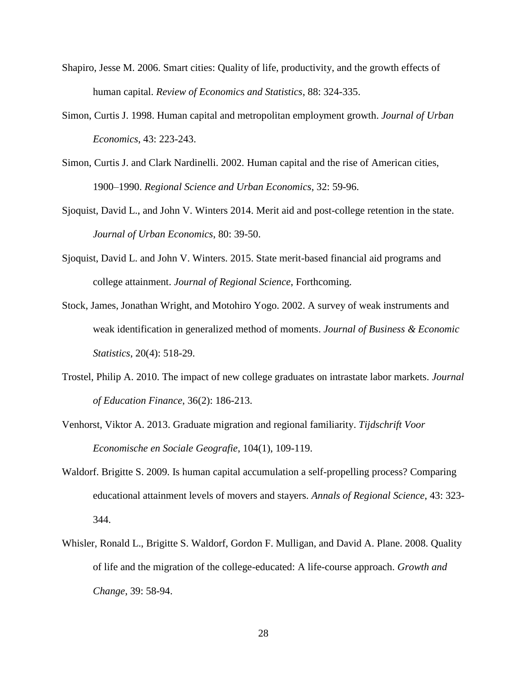- Shapiro, Jesse M. 2006. Smart cities: Quality of life, productivity, and the growth effects of human capital. *Review of Economics and Statistics*, 88: 324-335.
- Simon, Curtis J. 1998. Human capital and metropolitan employment growth. *Journal of Urban Economics*, 43: 223-243.
- Simon, Curtis J. and Clark Nardinelli. 2002. Human capital and the rise of American cities, 1900–1990. *Regional Science and Urban Economics*, 32: 59-96.
- Sjoquist, David L., and John V. Winters 2014. Merit aid and post-college retention in the state. *Journal of Urban Economics*, 80: 39-50.
- Sjoquist, David L. and John V. Winters. 2015. State merit-based financial aid programs and college attainment. *Journal of Regional Science*, Forthcoming.
- Stock, James, Jonathan Wright, and Motohiro Yogo. 2002. A survey of weak instruments and weak identification in generalized method of moments. *Journal of Business & Economic Statistics*, 20(4): 518-29.
- Trostel, Philip A. 2010. The impact of new college graduates on intrastate labor markets. *Journal of Education Finance*, 36(2): 186-213.
- Venhorst, Viktor A. 2013. Graduate migration and regional familiarity. *Tijdschrift Voor Economische en Sociale Geografie*, 104(1), 109-119.
- Waldorf. Brigitte S. 2009. Is human capital accumulation a self-propelling process? Comparing educational attainment levels of movers and stayers. *Annals of Regional Science*, 43: 323- 344.
- Whisler, Ronald L., Brigitte S. Waldorf, Gordon F. Mulligan, and David A. Plane. 2008. Quality of life and the migration of the college-educated: A life-course approach. *Growth and Change*, 39: 58-94.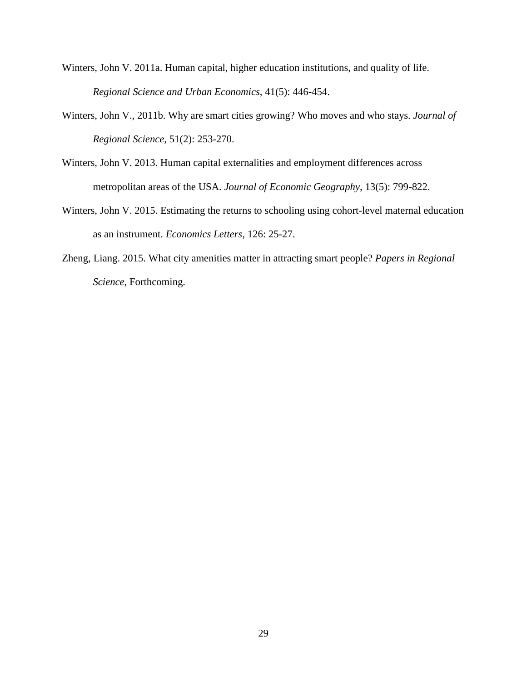- Winters, John V. 2011a. Human capital, higher education institutions, and quality of life. *Regional Science and Urban Economics*, 41(5): 446-454.
- Winters, John V., 2011b. Why are smart cities growing? Who moves and who stays. *Journal of Regional Science*, 51(2): 253-270.
- Winters, John V. 2013. Human capital externalities and employment differences across metropolitan areas of the USA. *Journal of Economic Geography*, 13(5): 799-822.
- Winters, John V. 2015. Estimating the returns to schooling using cohort-level maternal education as an instrument. *Economics Letters*, 126: 25-27.
- Zheng, Liang. 2015. What city amenities matter in attracting smart people? *Papers in Regional Science*, Forthcoming.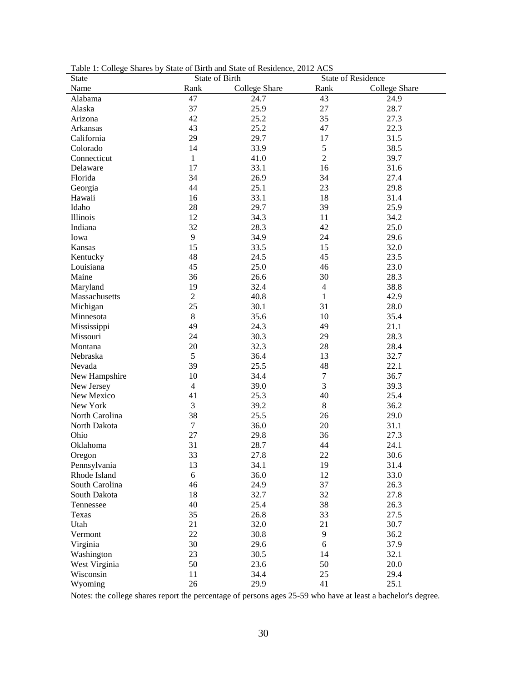| <b>State</b>   | State of Birth |               | <b>State of Residence</b> |                      |
|----------------|----------------|---------------|---------------------------|----------------------|
| Name           | Rank           | College Share | Rank                      | <b>College Share</b> |
| Alabama        | 47             | 24.7          | 43                        | 24.9                 |
| Alaska         | 37             | 25.9          | 27                        | 28.7                 |
| Arizona        | 42             | 25.2          | 35                        | 27.3                 |
| Arkansas       | 43             | 25.2          | 47                        | 22.3                 |
| California     | 29             | 29.7          | 17                        | 31.5                 |
| Colorado       | 14             | 33.9          | 5                         | 38.5                 |
| Connecticut    | $\mathbf{1}$   | 41.0          | $\overline{2}$            | 39.7                 |
| Delaware       | 17             | 33.1          | 16                        | 31.6                 |
| Florida        | 34             | 26.9          | 34                        | 27.4                 |
| Georgia        | 44             | 25.1          | 23                        | 29.8                 |
| Hawaii         | 16             | 33.1          | 18                        | 31.4                 |
| Idaho          | 28             | 29.7          | 39                        | 25.9                 |
| Illinois       | 12             | 34.3          | 11                        | 34.2                 |
| Indiana        | 32             | 28.3          | 42                        | 25.0                 |
| Iowa           | 9              | 34.9          | 24                        | 29.6                 |
| Kansas         | 15             | 33.5          | 15                        | 32.0                 |
| Kentucky       | 48             | 24.5          | 45                        | 23.5                 |
| Louisiana      | 45             | 25.0          | 46                        | 23.0                 |
| Maine          | 36             | 26.6          | 30                        | 28.3                 |
| Maryland       | 19             | 32.4          | $\overline{4}$            | 38.8                 |
| Massachusetts  | $\overline{2}$ | 40.8          | $\mathbf{1}$              | 42.9                 |
| Michigan       | 25             | 30.1          | 31                        | 28.0                 |
| Minnesota      | $8\,$          | 35.6          | 10                        | 35.4                 |
| Mississippi    | 49             | 24.3          | 49                        | 21.1                 |
| Missouri       | 24             | 30.3          | 29                        | 28.3                 |
| Montana        | 20             | 32.3          | $28\,$                    | 28.4                 |
| Nebraska       | 5              | 36.4          | 13                        | 32.7                 |
| Nevada         | 39             | 25.5          | 48                        | 22.1                 |
| New Hampshire  | 10             | 34.4          | $\tau$                    | 36.7                 |
| New Jersey     | $\overline{4}$ | 39.0          | 3                         | 39.3                 |
| New Mexico     | 41             | 25.3          | 40                        | 25.4                 |
| New York       | 3              | 39.2          | 8                         | 36.2                 |
| North Carolina | 38             | 25.5          | 26                        | 29.0                 |
| North Dakota   | $\tau$         | 36.0          | 20                        | 31.1                 |
| Ohio           | 27             | 29.8          | 36                        | 27.3                 |
| Oklahoma       | 31             | 28.7          | 44                        | 24.1                 |
| Oregon         | 33             | 27.8          | 22                        | 30.6                 |
| Pennsylvania   | 13             | 34.1          | 19                        | 31.4                 |
| Rhode Island   | 6              | 36.0          | 12                        | 33.0                 |
| South Carolina | 46             | 24.9          | 37                        |                      |
| South Dakota   | 18             | 32.7          | 32                        | 26.3                 |
| Tennessee      | 40             | 25.4          |                           | 27.8                 |
|                |                |               | 38                        | 26.3                 |
| Texas          | 35             | 26.8          | 33                        | 27.5                 |
| Utah           | 21             | 32.0          | 21                        | 30.7                 |
| Vermont        | 22             | 30.8          | 9                         | 36.2                 |
| Virginia       | 30             | 29.6          | 6                         | 37.9                 |
| Washington     | 23             | 30.5          | 14                        | 32.1                 |
| West Virginia  | 50             | 23.6          | 50                        | 20.0                 |
| Wisconsin      | 11             | 34.4          | 25                        | 29.4                 |
| Wyoming        | 26             | 29.9          | 41                        | 25.1                 |

Table 1: College Shares by State of Birth and State of Residence, 2012 ACS

Notes: the college shares report the percentage of persons ages 25-59 who have at least a bachelor's degree.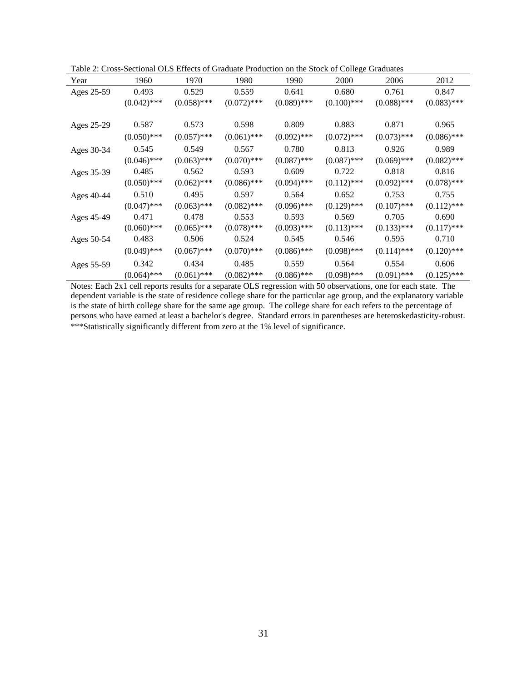|  | Table 2: Cross-Sectional OLS Effects of Graduate Production on the Stock of College Graduates |  |  |  |  |  |  |  |  |
|--|-----------------------------------------------------------------------------------------------|--|--|--|--|--|--|--|--|
|--|-----------------------------------------------------------------------------------------------|--|--|--|--|--|--|--|--|

| Year       | Table 2. Cross Dectional OLS Lifects of Graduate Froudelion on the Stock of Concert Graduates<br>1960 | 1970          | 1980          | 1990          | 2000          | 2006          | 2012          |
|------------|-------------------------------------------------------------------------------------------------------|---------------|---------------|---------------|---------------|---------------|---------------|
| Ages 25-59 | 0.493                                                                                                 | 0.529         | 0.559         | 0.641         | 0.680         | 0.761         | 0.847         |
|            | $(0.042)$ ***                                                                                         | $(0.058)$ *** | $(0.072)$ *** | $(0.089)$ *** | $(0.100)$ *** | $(0.088)$ *** | $(0.083)$ *** |
| Ages 25-29 | 0.587                                                                                                 | 0.573         | 0.598         | 0.809         | 0.883         | 0.871         | 0.965         |
|            | $(0.050)$ ***                                                                                         | $(0.057)$ *** | $(0.061)$ *** | $(0.092)$ *** | $(0.072)$ *** | $(0.073)$ *** | $(0.086)$ *** |
| Ages 30-34 | 0.545                                                                                                 | 0.549         | 0.567         | 0.780         | 0.813         | 0.926         | 0.989         |
|            | $(0.046)$ ***                                                                                         | $(0.063)$ *** | $(0.070)$ *** | $(0.087)$ *** | $(0.087)$ *** | $(0.069)$ *** | $(0.082)$ *** |
| Ages 35-39 | 0.485                                                                                                 | 0.562         | 0.593         | 0.609         | 0.722         | 0.818         | 0.816         |
|            | $(0.050)$ ***                                                                                         | $(0.062)$ *** | $(0.086)$ *** | $(0.094)$ *** | $(0.112)$ *** | $(0.092)$ *** | $(0.078)$ *** |
| Ages 40-44 | 0.510                                                                                                 | 0.495         | 0.597         | 0.564         | 0.652         | 0.753         | 0.755         |
|            | $(0.047)$ ***                                                                                         | $(0.063)$ *** | $(0.082)$ *** | $(0.096)$ *** | $(0.129)$ *** | $(0.107)$ *** | $(0.112)$ *** |
| Ages 45-49 | 0.471                                                                                                 | 0.478         | 0.553         | 0.593         | 0.569         | 0.705         | 0.690         |
|            | $(0.060)$ ***                                                                                         | $(0.065)$ *** | $(0.078)$ *** | $(0.093)$ *** | $(0.113)$ *** | $(0.133)$ *** | $(0.117)$ *** |
| Ages 50-54 | 0.483                                                                                                 | 0.506         | 0.524         | 0.545         | 0.546         | 0.595         | 0.710         |
|            | $(0.049)$ ***                                                                                         | $(0.067)$ *** | $(0.070)$ *** | $(0.086)$ *** | $(0.098)$ *** | $(0.114)$ *** | $(0.120)$ *** |
| Ages 55-59 | 0.342                                                                                                 | 0.434         | 0.485         | 0.559         | 0.564         | 0.554         | 0.606         |
|            | $(0.064)$ ***                                                                                         | $(0.061)$ *** | $(0.082)$ *** | $(0.086)$ *** | $(0.098)$ *** | $(0.091)$ *** | $(0.125)$ *** |

Notes: Each 2x1 cell reports results for a separate OLS regression with 50 observations, one for each state. The dependent variable is the state of residence college share for the particular age group, and the explanatory variable is the state of birth college share for the same age group. The college share for each refers to the percentage of persons who have earned at least a bachelor's degree. Standard errors in parentheses are heteroskedasticity-robust. \*\*\*Statistically significantly different from zero at the 1% level of significance.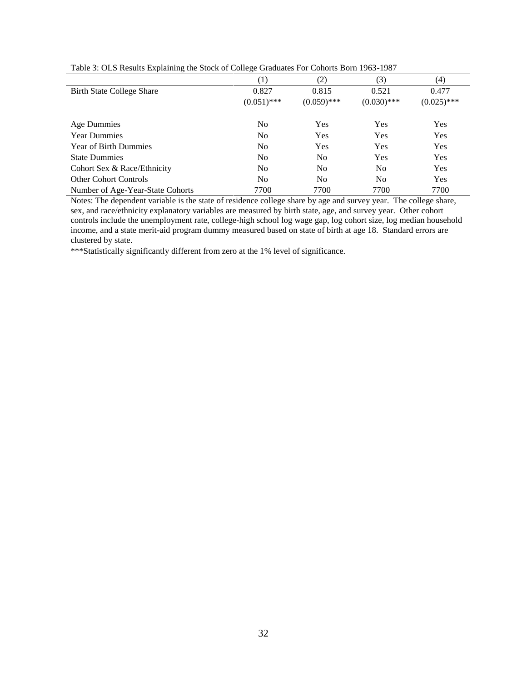| $\overline{\phantom{a}}$         | Č                |                |                |               |
|----------------------------------|------------------|----------------|----------------|---------------|
|                                  | $\left(1\right)$ | (2)            | (3)            | (4)           |
| <b>Birth State College Share</b> | 0.827            | 0.815          | 0.521          | 0.477         |
|                                  | $(0.051)$ ***    | $(0.059)$ ***  | $(0.030)$ ***  | $(0.025)$ *** |
| Age Dummies                      | No               | Yes            | Yes            | <b>Yes</b>    |
| <b>Year Dummies</b>              | N <sub>0</sub>   | Yes            | Yes            | Yes           |
| <b>Year of Birth Dummies</b>     | No               | Yes            | Yes            | Yes           |
| <b>State Dummies</b>             | No               | N <sub>0</sub> | Yes            | Yes           |
| Cohort Sex & Race/Ethnicity      | N <sub>0</sub>   | N <sub>0</sub> | N <sub>0</sub> | Yes           |
| <b>Other Cohort Controls</b>     | No               | N <sub>0</sub> | N <sub>0</sub> | Yes           |
| Number of Age-Year-State Cohorts | 7700             | 7700           | 7700           | 7700          |

Table 3: OLS Results Explaining the Stock of College Graduates For Cohorts Born 1963-1987

Notes: The dependent variable is the state of residence college share by age and survey year. The college share, sex, and race/ethnicity explanatory variables are measured by birth state, age, and survey year. Other cohort controls include the unemployment rate, college-high school log wage gap, log cohort size, log median household income, and a state merit-aid program dummy measured based on state of birth at age 18. Standard errors are clustered by state.

\*\*\*Statistically significantly different from zero at the 1% level of significance.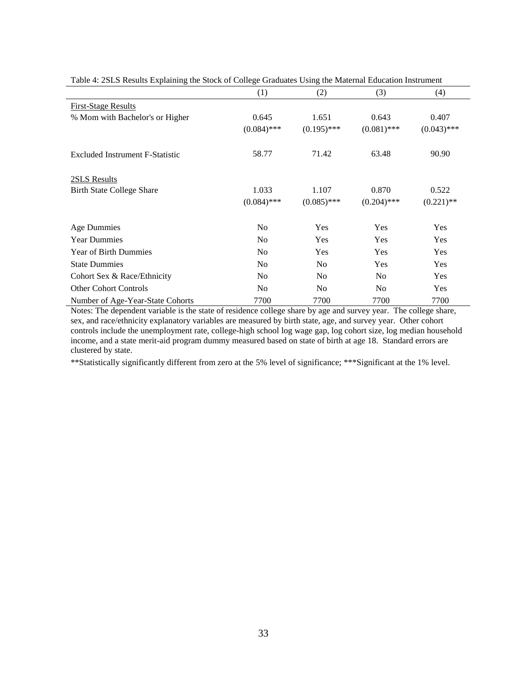|                                        | (1)            | (2)            | (3)            | (4)           |
|----------------------------------------|----------------|----------------|----------------|---------------|
| <b>First-Stage Results</b>             |                |                |                |               |
| % Mom with Bachelor's or Higher        | 0.645          | 1.651          | 0.643          | 0.407         |
|                                        | $(0.084)$ ***  | $(0.195)$ ***  | $(0.081)$ ***  | $(0.043)$ *** |
| <b>Excluded Instrument F-Statistic</b> | 58.77          | 71.42          | 63.48          | 90.90         |
| 2SLS Results                           |                |                |                |               |
| <b>Birth State College Share</b>       | 1.033          | 1.107          | 0.870          | 0.522         |
|                                        | $(0.084)$ ***  | $(0.085)$ ***  | $(0.204)$ ***  | $(0.221)$ **  |
| Age Dummies                            | N <sub>0</sub> | Yes            | Yes            | Yes           |
| <b>Year Dummies</b>                    | N <sub>o</sub> | Yes            | Yes            | Yes           |
| <b>Year of Birth Dummies</b>           | N <sub>0</sub> | Yes            | Yes            | Yes           |
| <b>State Dummies</b>                   | No             | N <sub>o</sub> | Yes            | Yes           |
| Cohort Sex & Race/Ethnicity            | No             | N <sub>0</sub> | N <sub>o</sub> | Yes           |
| <b>Other Cohort Controls</b>           | N <sub>0</sub> | N <sub>0</sub> | N <sub>0</sub> | Yes           |
| Number of Age-Year-State Cohorts       | 7700           | 7700           | 7700           | 7700          |

Table 4: 2SLS Results Explaining the Stock of College Graduates Using the Maternal Education Instrument

Notes: The dependent variable is the state of residence college share by age and survey year. The college share, sex, and race/ethnicity explanatory variables are measured by birth state, age, and survey year. Other cohort controls include the unemployment rate, college-high school log wage gap, log cohort size, log median household income, and a state merit-aid program dummy measured based on state of birth at age 18. Standard errors are clustered by state.

\*\*Statistically significantly different from zero at the 5% level of significance; \*\*\*Significant at the 1% level.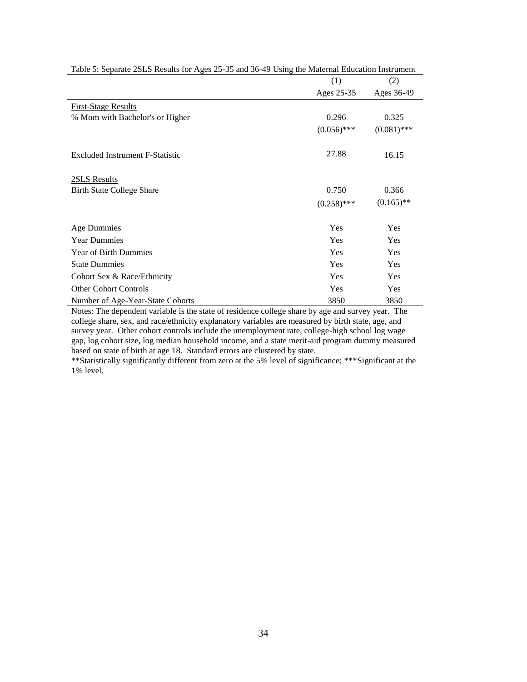|                                        | (1)           | (2)           |
|----------------------------------------|---------------|---------------|
|                                        | Ages 25-35    | Ages 36-49    |
| <b>First-Stage Results</b>             |               |               |
| % Mom with Bachelor's or Higher        | 0.296         | 0.325         |
|                                        | $(0.056)$ *** | $(0.081)$ *** |
| <b>Excluded Instrument F-Statistic</b> | 27.88         | 16.15         |
| 2SLS Results                           |               |               |
| <b>Birth State College Share</b>       | 0.750         | 0.366         |
|                                        | $(0.258)$ *** | $(0.165)$ **  |
| Age Dummies                            | Yes           | Yes           |
| <b>Year Dummies</b>                    | Yes           | Yes           |
| Year of Birth Dummies                  | Yes           | Yes           |
| <b>State Dummies</b>                   | Yes           | Yes           |
| Cohort Sex & Race/Ethnicity            | Yes           | Yes           |
| <b>Other Cohort Controls</b>           | Yes           | Yes           |
| Number of Age-Year-State Cohorts       | 3850          | 3850          |

Table 5: Separate 2SLS Results for Ages 25-35 and 36-49 Using the Maternal Education Instrument

Notes: The dependent variable is the state of residence college share by age and survey year. The college share, sex, and race/ethnicity explanatory variables are measured by birth state, age, and survey year. Other cohort controls include the unemployment rate, college-high school log wage gap, log cohort size, log median household income, and a state merit-aid program dummy measured based on state of birth at age 18. Standard errors are clustered by state.

\*\*Statistically significantly different from zero at the 5% level of significance; \*\*\*Significant at the 1% level.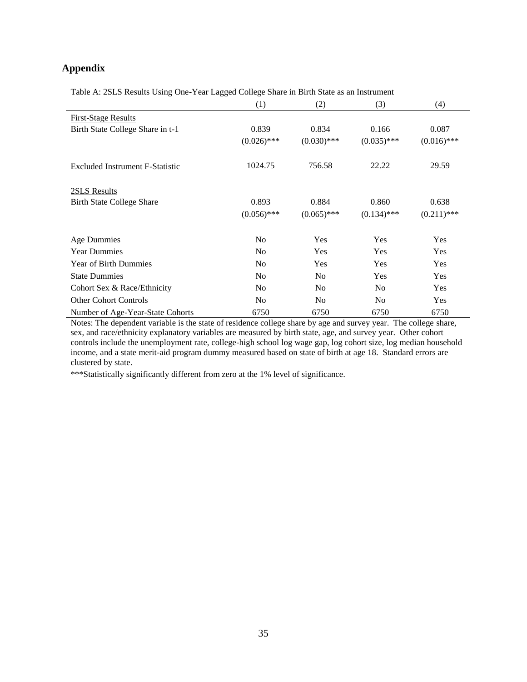### **Appendix**

l.

Table A: 2SLS Results Using One-Year Lagged College Share in Birth State as an Instrument

|                                        | (1)            | (2)            | (3)            | (4)           |
|----------------------------------------|----------------|----------------|----------------|---------------|
| <b>First-Stage Results</b>             |                |                |                |               |
| Birth State College Share in t-1       | 0.839          | 0.834          | 0.166          | 0.087         |
|                                        | $(0.026)$ ***  | $(0.030)$ ***  | $(0.035)$ ***  | $(0.016)$ *** |
| <b>Excluded Instrument F-Statistic</b> | 1024.75        | 756.58         | 22.22          | 29.59         |
| 2SLS Results                           |                |                |                |               |
| <b>Birth State College Share</b>       | 0.893          | 0.884          | 0.860          | 0.638         |
|                                        | $(0.056)$ ***  | $(0.065)$ ***  | $(0.134)$ ***  | $(0.211)$ *** |
| Age Dummies                            | N <sub>o</sub> | Yes            | Yes            | Yes           |
| <b>Year Dummies</b>                    | N <sub>0</sub> | Yes            | Yes            | Yes           |
| <b>Year of Birth Dummies</b>           | N <sub>0</sub> | <b>Yes</b>     | Yes            | Yes           |
| <b>State Dummies</b>                   | N <sub>o</sub> | No             | Yes            | Yes           |
| Cohort Sex & Race/Ethnicity            | N <sub>0</sub> | N <sub>0</sub> | N <sub>0</sub> | Yes           |
| <b>Other Cohort Controls</b>           | N <sub>0</sub> | N <sub>0</sub> | N <sub>0</sub> | Yes           |
| Number of Age-Year-State Cohorts       | 6750           | 6750           | 6750           | 6750          |

Notes: The dependent variable is the state of residence college share by age and survey year. The college share, sex, and race/ethnicity explanatory variables are measured by birth state, age, and survey year. Other cohort controls include the unemployment rate, college-high school log wage gap, log cohort size, log median household income, and a state merit-aid program dummy measured based on state of birth at age 18. Standard errors are clustered by state.

\*\*\*Statistically significantly different from zero at the 1% level of significance.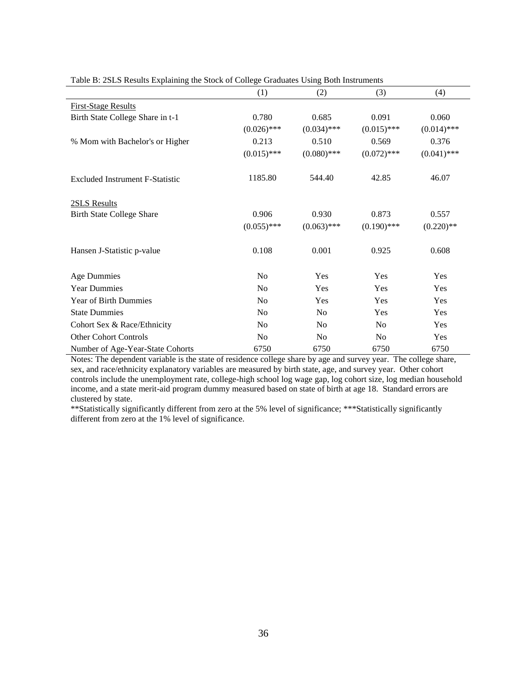|                                  | (1)            | (2)            | (3)            | (4)           |
|----------------------------------|----------------|----------------|----------------|---------------|
| <b>First-Stage Results</b>       |                |                |                |               |
| Birth State College Share in t-1 | 0.780          | 0.685          | 0.091          | 0.060         |
|                                  | $(0.026)$ ***  | $(0.034)$ ***  | $(0.015)$ ***  | $(0.014)$ *** |
| % Mom with Bachelor's or Higher  | 0.213          | 0.510          | 0.569          | 0.376         |
|                                  | $(0.015)$ ***  | $(0.080)$ ***  | $(0.072)$ ***  | $(0.041)$ *** |
| Excluded Instrument F-Statistic  | 1185.80        | 544.40         | 42.85          | 46.07         |
| 2SLS Results                     |                |                |                |               |
| <b>Birth State College Share</b> | 0.906          | 0.930          | 0.873          | 0.557         |
|                                  | $(0.055)$ ***  | $(0.063)$ ***  | $(0.190)$ ***  | $(0.220)$ **  |
| Hansen J-Statistic p-value       | 0.108          | 0.001          | 0.925          | 0.608         |
| <b>Age Dummies</b>               | No             | Yes            | Yes            | Yes           |
| <b>Year Dummies</b>              | No             | Yes            | Yes            | Yes           |
| Year of Birth Dummies            | No             | Yes            | Yes            | Yes           |
| <b>State Dummies</b>             | No             | N <sub>o</sub> | Yes            | Yes           |
| Cohort Sex & Race/Ethnicity      | No             | N <sub>o</sub> | N <sub>o</sub> | Yes           |
| <b>Other Cohort Controls</b>     | N <sub>0</sub> | No             | N <sub>0</sub> | Yes           |
| Number of Age-Year-State Cohorts | 6750           | 6750           | 6750           | 6750          |

Table B: 2SLS Results Explaining the Stock of College Graduates Using Both Instruments

Notes: The dependent variable is the state of residence college share by age and survey year. The college share, sex, and race/ethnicity explanatory variables are measured by birth state, age, and survey year. Other cohort controls include the unemployment rate, college-high school log wage gap, log cohort size, log median household income, and a state merit-aid program dummy measured based on state of birth at age 18. Standard errors are clustered by state.

\*\*Statistically significantly different from zero at the 5% level of significance; \*\*\*Statistically significantly different from zero at the 1% level of significance.